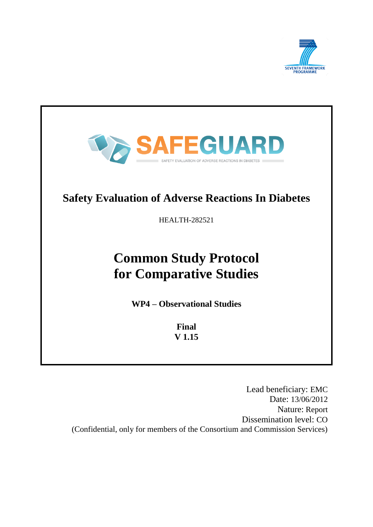



Lead beneficiary: EMC Date: 13/06/2012 Nature: Report Dissemination level: CO (Confidential, only for members of the Consortium and Commission Services)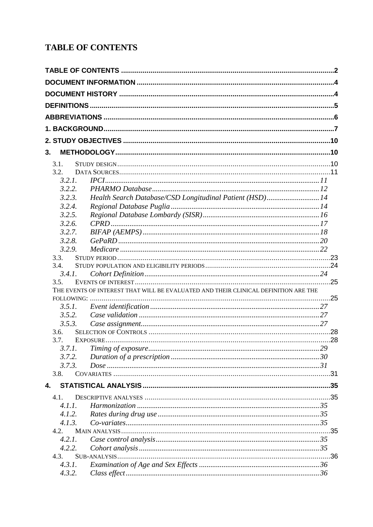# <span id="page-1-0"></span>**TABLE OF CONTENTS**

| 3. |        |                                                                                     |  |
|----|--------|-------------------------------------------------------------------------------------|--|
|    | 3.1.   |                                                                                     |  |
|    | 3.2.   |                                                                                     |  |
|    | 3.2.1. |                                                                                     |  |
|    | 3.2.2. |                                                                                     |  |
|    | 3.2.3. | Health Search Database/CSD Longitudinal Patient (HSD)14                             |  |
|    | 3.2.4. |                                                                                     |  |
|    | 3.2.5. |                                                                                     |  |
|    | 3.2.6. |                                                                                     |  |
|    | 3.2.7. |                                                                                     |  |
|    | 3.2.8. |                                                                                     |  |
|    | 3.2.9. |                                                                                     |  |
|    | 3.3.   |                                                                                     |  |
|    | 3.4.   |                                                                                     |  |
|    | 3.4.1. |                                                                                     |  |
|    | 3.5.   |                                                                                     |  |
|    |        | THE EVENTS OF INTEREST THAT WILL BE EVALUATED AND THEIR CLINICAL DEFINITION ARE THE |  |
|    |        |                                                                                     |  |
|    | 3.5.1. |                                                                                     |  |
|    | 3.5.2. |                                                                                     |  |
|    | 3.5.3. |                                                                                     |  |
|    | 3.6.   |                                                                                     |  |
|    | 3.7.   |                                                                                     |  |
|    |        |                                                                                     |  |
|    |        |                                                                                     |  |
|    | 3.7.2. |                                                                                     |  |
|    | 3.7.3. |                                                                                     |  |
|    | 3.8.   |                                                                                     |  |
| 4. |        |                                                                                     |  |
|    | 4.1.   |                                                                                     |  |
|    | 4.1.1. |                                                                                     |  |
|    | 4.1.2. |                                                                                     |  |
|    | 4.1.3. |                                                                                     |  |
|    | 4.2.   |                                                                                     |  |
|    | 4.2.1. |                                                                                     |  |
|    | 4.2.2. |                                                                                     |  |
|    | 4.3.   |                                                                                     |  |
|    | 4.3.1. |                                                                                     |  |
|    | 4.3.2. |                                                                                     |  |
|    |        |                                                                                     |  |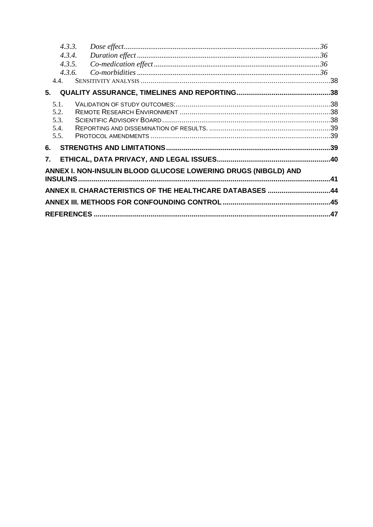|      | 4.3.3.                                                         |  |
|------|----------------------------------------------------------------|--|
|      | 4.3.4.                                                         |  |
|      | 4.3.5.                                                         |  |
|      | 4.3.6.                                                         |  |
| 4.4. |                                                                |  |
| 5.   |                                                                |  |
| 5.1. |                                                                |  |
| 5.2. |                                                                |  |
| 5.3. |                                                                |  |
| 5.4. |                                                                |  |
| 5.5. |                                                                |  |
| 6.   |                                                                |  |
| 7.   |                                                                |  |
|      | ANNEX I. NON-INSULIN BLOOD GLUCOSE LOWERING DRUGS (NIBGLD) AND |  |
|      |                                                                |  |
|      |                                                                |  |
|      | ANNEX II. CHARACTERISTICS OF THE HEALTHCARE DATABASES 44       |  |
|      |                                                                |  |
|      |                                                                |  |
|      |                                                                |  |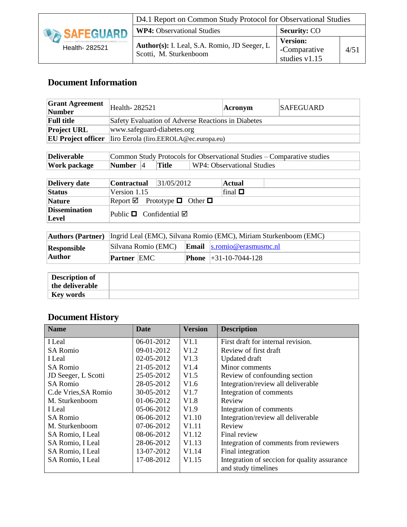

# **Document Information**

<span id="page-3-0"></span>

| <b>Grant Agreement</b><br>Number | Health-282521                                      | <b>Acronym</b> | <b>SAFEGUARD</b> |
|----------------------------------|----------------------------------------------------|----------------|------------------|
| <b>Full title</b>                | Safety Evaluation of Adverse Reactions in Diabetes |                |                  |
| <b>Project URL</b>               | www.safeguard-diabetes.org                         |                |                  |
| <b>EU Project officer</b>        | liro Eerola (Iiro.EEROLA@ec.europa.eu)             |                |                  |

| <b>Deliverable</b><br>Common Study Protocols for Observational Studies – Comparative studies |              |  |              |                            |
|----------------------------------------------------------------------------------------------|--------------|--|--------------|----------------------------|
| <b>Work package</b>                                                                          | Number $ 4 $ |  | <b>Title</b> | WP4: Observational Studies |

| Delivery date                 | <b>Contractual</b>                | 31/05/2012                                       | Actual       |  |
|-------------------------------|-----------------------------------|--------------------------------------------------|--------------|--|
| <b>Status</b>                 | Version 1.15                      |                                                  | final $\Box$ |  |
| <b>Nature</b>                 |                                   | Report $\boxtimes$ Prototype $\Box$ Other $\Box$ |              |  |
| <b>Dissemination</b><br>Level | Public $\Box$ Confidential $\Box$ |                                                  |              |  |

|             | <b>Authors (Partner)</b>   Ingrid Leal (EMC), Silvana Romio (EMC), Miriam Sturkenboom (EMC) |  |  |                                     |
|-------------|---------------------------------------------------------------------------------------------|--|--|-------------------------------------|
| Responsible | Silvana Romio (EMC) Email $\vert$ s.romio@erasmusmc.nl                                      |  |  |                                     |
| Author      | <b>Partner EMC</b>                                                                          |  |  | <b>Phone</b> $\mid +31-10-7044-128$ |

| <b>Description of</b><br>the deliverable |  |
|------------------------------------------|--|
| Key words                                |  |

# **Document History**

<span id="page-3-1"></span>

| <b>Name</b>          | Date       | <b>Version</b>    | <b>Description</b>                           |
|----------------------|------------|-------------------|----------------------------------------------|
| I Leal               | 06-01-2012 | V1.1              | First draft for internal revision.           |
| <b>SA Romio</b>      | 09-01-2012 | V1.2              | Review of first draft                        |
| I Leal               | 02-05-2012 | V1.3              | Updated draft                                |
| <b>SA Romio</b>      | 21-05-2012 | V1.4              | Minor comments                               |
| JD Seeger, L Scotti  | 25-05-2012 | V1.5              | Review of confounding section                |
| <b>SA Romio</b>      | 28-05-2012 | V1.6              | Integration/review all deliverable           |
| C.de Vries, SA Romio | 30-05-2012 | V1.7              | Integration of comments                      |
| M. Sturkenboom       | 01-06-2012 | V1.8              | Review                                       |
| I Leal               | 05-06-2012 | V1.9              | Integration of comments                      |
| <b>SA Romio</b>      | 06-06-2012 | V1.10             | Integration/review all deliverable           |
| M. Sturkenboom       | 07-06-2012 | V <sub>1.11</sub> | Review                                       |
| SA Romio, I Leal     | 08-06-2012 | V <sub>1.12</sub> | Final review                                 |
| SA Romio, I Leal     | 28-06-2012 | V1.13             | Integration of comments from reviewers       |
| SA Romio, I Leal     | 13-07-2012 | V1.14             | Final integration                            |
| SA Romio, I Leal     | 17-08-2012 | V1.15             | Integration of seccion for quality assurance |
|                      |            |                   | and study timelines                          |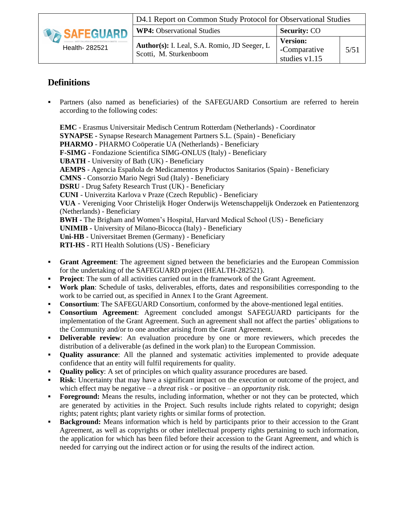|                | D4.1 Report on Common Study Protocol for Observational Studies         |                                                  |      |  |
|----------------|------------------------------------------------------------------------|--------------------------------------------------|------|--|
| SAFEGUARD      | <b>WP4:</b> Observational Studies                                      | <b>Security: CO</b>                              |      |  |
| Health- 282521 | Author(s): I. Leal, S.A. Romio, JD Seeger, L<br>Scotti, M. Sturkenboom | <b>Version:</b><br>-Comparative<br>studies v1.15 | 5/51 |  |

# **Definitions**

<span id="page-4-0"></span> Partners (also named as beneficiaries) of the SAFEGUARD Consortium are referred to herein according to the following codes:

**EMC** - Erasmus Universitair Medisch Centrum Rotterdam (Netherlands) - Coordinator **SYNAPSE -** Synapse Research Management Partners S.L. (Spain) - Beneficiary **PHARMO** - PHARMO Coöperatie UA (Netherlands) - Beneficiary **F-SIMG** - Fondazione Scientifica SIMG-ONLUS (Italy) - Beneficiary **UBATH** - University of Bath (UK) - Beneficiary **AEMPS** - Agencia Española de Medicamentos y Productos Sanitarios (Spain) - Beneficiary **CMNS** - Consorzio Mario Negri Sud (Italy) - Beneficiary **DSRU** - Drug Safety Research Trust (UK) - Beneficiary **CUNI** - Univerzita Karlova v Praze (Czech Republic) - Beneficiary **VUA** - Vereniging Voor Christelijk Hoger Onderwijs Wetenschappelijk Onderzoek en Patientenzorg (Netherlands) - Beneficiary **BWH -** The Brigham and Women's Hospital, Harvard Medical School (US) - Beneficiary **UNIMIB -** University of Milano-Bicocca (Italy) - Beneficiary **Uni-HB** - Universitaet Bremen (Germany) - Beneficiary **RTI-HS** - RTI Health Solutions (US) - Beneficiary

- **Grant Agreement**: The agreement signed between the beneficiaries and the European Commission for the undertaking of the SAFEGUARD project (HEALTH-282521).
- **Project:** The sum of all activities carried out in the framework of the Grant Agreement.
- **Work plan**: Schedule of tasks, deliverables, efforts, dates and responsibilities corresponding to the work to be carried out, as specified in Annex I to the Grant Agreement.
- **Consortium**: The SAFEGUARD Consortium, conformed by the above-mentioned legal entities.
- **Consortium Agreement**: Agreement concluded amongst SAFEGUARD participants for the implementation of the Grant Agreement. Such an agreement shall not affect the parties' obligations to the Community and/or to one another arising from the Grant Agreement.
- **Deliverable review**: An evaluation procedure by one or more reviewers, which precedes the distribution of a deliverable (as defined in the work plan) to the European Commission.
- **Quality assurance**: All the planned and systematic activities implemented to provide adequate confidence that an entity will fulfil requirements for quality.
- **Quality policy**: A set of principles on which quality assurance procedures are based.
- **Risk**: Uncertainty that may have a significant impact on the execution or outcome of the project, and which effect may be negative – a *threat* risk - or positive – an *opportunity* risk.
- **Foreground:** Means the results, including information, whether or not they can be protected, which are generated by activities in the Project. Such results include rights related to copyright; design rights; patent rights; plant variety rights or similar forms of protection.
- **Background:** Means information which is held by participants prior to their accession to the Grant Agreement, as well as copyrights or other intellectual property rights pertaining to such information, the application for which has been filed before their accession to the Grant Agreement, and which is needed for carrying out the indirect action or for using the results of the indirect action.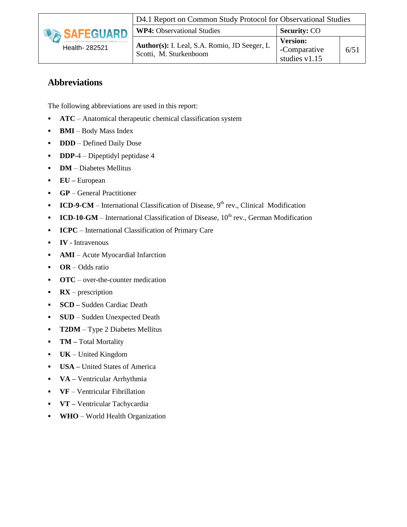

# **Abbreviations**

<span id="page-5-0"></span>The following abbreviations are used in this report:

- **ATC** Anatomical therapeutic chemical classification system
- **BMI** Body Mass Index
- **DDD** Defined Daily Dose
- **DDP-4** Dipeptidyl peptidase 4
- **• DM** Diabetes Mellitus
- **EU –** European
- **GP** General Practitioner
- **ICD-9-CM** International Classification of Disease,  $9<sup>th</sup>$  rev., Clinical Modification
- **ICD-10-GM** International Classification of Disease, 10<sup>th</sup> rev., German Modification
- **ICPC** International Classification of Primary Care
- **IV**  Intravenous
- **AMI** Acute Myocardial Infarction
- **OR** Odds ratio
- **OTC** over-the-counter medication
- **RX** prescription
- **SCD –** Sudden Cardiac Death
- **SUD** Sudden Unexpected Death
- **T2DM** Type 2 Diabetes Mellitus
- **TM –** Total Mortality
- **UK**  United Kingdom
- **USA –** United States of America
- **VA –** Ventricular Arrhythmia
- **VF**  Ventricular Fibrillation
- **VT –** Ventricular Tachycardia
- **WHO**  World Health Organization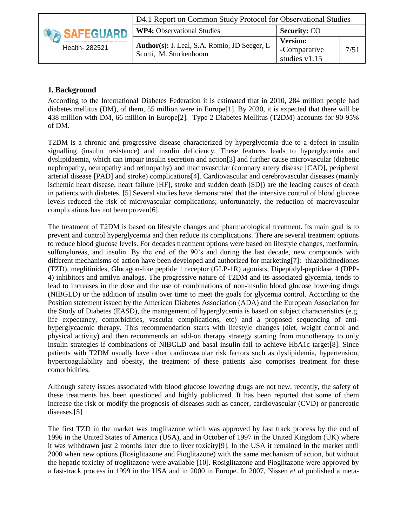|                     | D4.1 Report on Common Study Protocol for Observational Studies         |                                                  |      |  |
|---------------------|------------------------------------------------------------------------|--------------------------------------------------|------|--|
| <b>DA SAFEGUARD</b> | <b>WP4:</b> Observational Studies                                      | <b>Security: CO</b>                              |      |  |
| Health- 282521      | Author(s): I. Leal, S.A. Romio, JD Seeger, L<br>Scotti, M. Sturkenboom | <b>Version:</b><br>-Comparative<br>studies v1.15 | 7/51 |  |

# **1. Background**

<span id="page-6-0"></span>According to the International Diabetes Federation it is estimated that in 2010, 284 million people had diabetes mellitus (DM), of them, 55 million were in Europe[\[1\]](#page-46-1). By 2030, it is expected that there will be 438 million with DM, 66 million in Europe[\[2\]](#page-46-2). Type 2 Diabetes Mellitus (T2DM) accounts for 90-95% of DM.

T2DM is a chronic and progressive disease characterized by hyperglycemia due to a defect in insulin signalling (insulin resistance) and insulin deficiency. These features leads to hyperglycemia and dyslipidaemia, which can impair insulin secretion and action[\[3\]](#page-46-3) and further cause microvascular (diabetic nephropathy, neuropathy and retinopathy) and macrovascular (coronary artery disease [CAD], peripheral arterial disease [PAD] and stroke) complications[\[4\]](#page-46-4). Cardiovascular and cerebrovascular diseases (mainly ischemic heart disease, heart failure [HF], stroke and sudden death [SD]) are the leading causes of death in patients with diabetes. [\[5\]](#page-46-5) Several studies have demonstrated that the intensive control of blood glucose levels reduced the risk of microvascular complications; unfortunately, the reduction of macrovascular complications has not been proven[\[6\]](#page-46-6).

The treatment of T2DM is based on lifestyle changes and pharmacological treatment. Its main goal is to prevent and control hyperglycemia and then reduce its complications. There are several treatment options to reduce blood glucose levels. For decades treatment options were based on lifestyle changes, metformin, sulfonylureas, and insulin. By the end of the 90's and during the last decade, new compounds with different mechanisms of action have been developed and authorized for marketing[\[7\]](#page-46-7): thiazolidinediones (TZD), meglitinides, Glucagon-like peptide 1 receptor (GLP-1R) agonists, Dipeptidyl-peptidase 4 (DPP-4) inhibitors and amilyn analogs. The progressive nature of T2DM and its associated glycemia, tends to lead to increases in the dose and the use of combinations of non-insulin blood glucose lowering drugs (NIBGLD) or the addition of insulin over time to meet the goals for glycemia control. According to the Position statement issued by the American Diabetes Association (ADA) and the European Association for the Study of Diabetes (EASD), the management of hyperglycemia is based on subject characteristics (e.g. life expectancy, comorbidities, vascular complications, etc) and a proposed sequencing of antihyperglycaemic therapy. This recommendation starts with lifestyle changes (diet, weight control and physical activity) and then recommends an add-on therapy strategy starting from monotherapy to only insulin strategies if combinations of NIBGLD and basal insulin fail to achieve HbA1c target[\[8\]](#page-46-8). Since patients with T2DM usually have other cardiovascular risk factors such as dyslipidemia, hypertension, hypercoagulability and obesity, the treatment of these patients also comprises treatment for these comorbidities.

Although safety issues associated with blood glucose lowering drugs are not new, recently, the safety of these treatments has been questioned and highly publicized. It has been reported that some of them increase the risk or modify the prognosis of diseases such as cancer, cardiovascular (CVD) or pancreatic diseases.[\[5\]](#page-46-5)

The first TZD in the market was troglitazone which was approved by fast track process by the end of 1996 in the United States of America (USA), and in October of 1997 in the United Kingdom (UK) where it was withdrawn just 2 months later due to liver toxicity[\[9\]](#page-46-9). In the USA it remained in the market until 2000 when new options (Rosiglitazone and Pioglitazone) with the same mechanism of action, but without the hepatic toxicity of troglitazone were available [\[10\]](#page-46-10). Rosiglitazone and Pioglitazone were approved by a fast-track process in 1999 in the USA and in 2000 in Europe. In 2007, Nissen *et al* published a meta-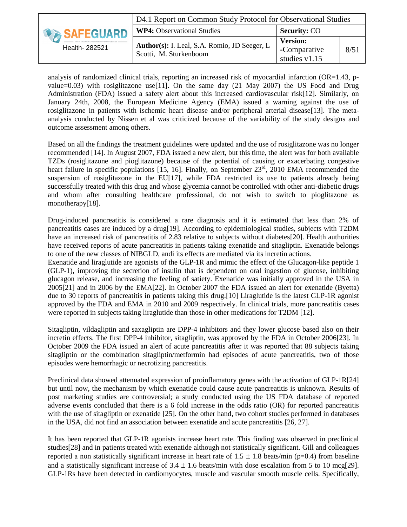|                     | D4.1 Report on Common Study Protocol for Observational Studies         |                                                  |      |  |
|---------------------|------------------------------------------------------------------------|--------------------------------------------------|------|--|
| <b>DA SAFEGUARD</b> | <b>WP4:</b> Observational Studies                                      | <b>Security: CO</b>                              |      |  |
| Health- 282521      | Author(s): I. Leal, S.A. Romio, JD Seeger, L<br>Scotti, M. Sturkenboom | <b>Version:</b><br>-Comparative<br>studies v1.15 | 8/51 |  |

analysis of randomized clinical trials, reporting an increased risk of myocardial infarction (OR=1.43, p-value=0.03) with rosiglitazone use [\[11\]](#page-46-11). On the same day (21 May 2007) the US Food and Drug Administration (FDA) issued a safety alert about this increased cardiovascular risk[\[12\]](#page-46-12). Similarly, on January 24th, 2008, the European Medicine Agency (EMA) issued a warning against the use of rosiglitazone in patients with ischemic heart disease and/or peripheral arterial disease[\[13\]](#page-46-13). The metaanalysis conducted by Nissen et al was criticized because of the variability of the study designs and outcome assessment among others.

Based on all the findings the treatment guidelines were updated and the use of rosiglitazone was no longer recommended [\[14\]](#page-46-14). In August 2007, FDA issued a new alert, but this time, the alert was for both available TZDs (rosiglitazone and pioglitazone) because of the potential of causing or exacerbating congestive heart failure in specific populations [\[15,](#page-46-15) [16\]](#page-46-16). Finally, on September 23<sup>rd</sup>, 2010 EMA recommended the suspension of rosiglitazone in the EU[\[17\]](#page-47-0), while FDA restricted its use to patients already being successfully treated with this drug and whose glycemia cannot be controlled with other anti-diabetic drugs and whom after consulting healthcare professional, do not wish to switch to pioglitazone as monotherapy[\[18\]](#page-47-1).

Drug-induced pancreatitis is considered a rare diagnosis and it is estimated that less than 2% of pancreatitis cases are induced by a drug[\[19\]](#page-47-2). According to epidemiological studies, subjects with T2DM have an increased risk of pancreatitis of 2.83 relative to subjects without diabetes[\[20\]](#page-47-3). Health authorities have received reports of acute pancreatitis in patients taking exenatide and sitagliptin. Exenatide belongs to one of the new classes of NIBGLD, andi its effects are mediated via its incretin actions.

Exenatide and liraglutide are agonists of the GLP-1R and mimic the effect of the Glucagon-like peptide 1 (GLP-1), improving the secretion of insulin that is dependent on oral ingestion of glucose, inhibiting glucagon release, and increasing the feeling of satiety. Exenatide was initially approved in the USA in 2005[\[21\]](#page-47-4) and in 2006 by the EMA[\[22\]](#page-47-5). In October 2007 the FDA issued an alert for exenatide (Byetta) due to 30 reports of pancreatitis in patients taking this drug.[\[10\]](#page-46-10) Liraglutide is the latest GLP-1R agonist approved by the FDA and EMA in 2010 and 2009 respectively. In clinical trials, more pancreatitis cases were reported in subjects taking liraglutide than those in other medications for T2DM [\[12\]](#page-46-12).

Sitagliptin, vildagliptin and saxagliptin are DPP-4 inhibitors and they lower glucose based also on their incretin effects. The first DPP-4 inhibitor, sitagliptin, was approved by the FDA in October 2006[\[23\]](#page-47-6). In October 2009 the FDA issued an alert of acute pancreatitis after it was reported that 88 subjects taking sitagliptin or the combination sitagliptin/metformin had episodes of acute pancreatitis, two of those episodes were hemorrhagic or necrotizing pancreatitis.

Preclinical data showed attenuated expression of proinflamatory genes with the activation of GLP-1R[\[24\]](#page-47-7) but until now, the mechanism by which exenatide could cause acute pancreatitis is unknown. Results of post marketing studies are controversial; a study conducted using the US FDA database of reported adverse events concluded that there is a 6 fold increase in the odds ratio (OR) for reported pancreatitis with the use of sitagliptin or exenatide [\[25\]](#page-47-8). On the other hand, two cohort studies performed in databases in the USA, did not find an association between exenatide and acute pancreatitis [\[26,](#page-47-9) [27\]](#page-47-10).

It has been reported that GLP-1R agonists increase heart rate. This finding was observed in preclinical studies[\[28\]](#page-47-11) and in patients treated with exenatide although not statistically significant. Gill and colleagues reported a non statistically significant increase in heart rate of  $1.5 \pm 1.8$  beats/min (p=0.4) from baseline and a statistically significant increase of  $3.4 \pm 1.6$  beats/min with dose escalation from 5 to 10 mcg[\[29\]](#page-47-12). GLP-1Rs have been detected in cardiomyocytes, muscle and vascular smooth muscle cells. Specifically,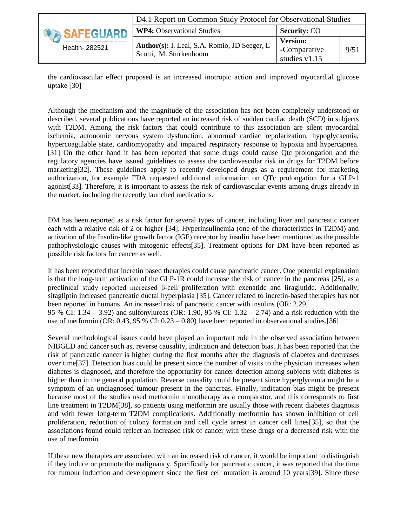|                  | D4.1 Report on Common Study Protocol for Observational Studies |                     |      |  |
|------------------|----------------------------------------------------------------|---------------------|------|--|
| <b>SAFEGUARD</b> | <b>WP4:</b> Observational Studies                              | <b>Security: CO</b> |      |  |
|                  |                                                                | <b>Version:</b>     |      |  |
| Health- 282521   | Author(s): I. Leal, S.A. Romio, JD Seeger, L                   | -Comparative        | 9/51 |  |
|                  | Scotti, M. Sturkenboom                                         | studies $v1.15$     |      |  |

the cardiovascular effect proposed is an increased inotropic action and improved myocardial glucose uptake [\[30\]](#page-47-13)

Although the mechanism and the magnitude of the association has not been completely understood or described, several publications have reported an increased risk of sudden cardiac death (SCD) in subjects with T2DM. Among the risk factors that could contribute to this association are silent myocardial ischemia, autonomic nervous system dysfunction, abnormal cardiac repolarization, hypoglycaemia, hypercoagulable state, cardiomyopathy and impaired respiratory response to hypoxia and hypercapnea. [\[31\]](#page-47-14) On the other hand it has been reported that some drugs could cause Qtc prolongation and the regulatory agencies have issued guidelines to assess the cardiovascular risk in drugs for T2DM before marketing[\[32\]](#page-48-0). These guidelines apply to recently developed drugs as a requirement for marketing authorization, for example FDA requested additional information on QTc prolongation for a GLP-1 agonist[\[33\]](#page-48-1). Therefore, it is important to assess the risk of cardiovascular events among drugs already in the market, including the recently launched medications.

DM has been reported as a risk factor for several types of cancer, including liver and pancreatic cancer each with a relative risk of 2 or higher [\[34\]](#page-48-2). Hyperinsulinemia (one of the characteristics in T2DM) and activation of the Insulin-like growth factor (IGF) receptor by insulin have been mentioned as the possible pathophysiologic causes with mitogenic effects[\[35\]](#page-48-3). Treatment options for DM have been reported as possible risk factors for cancer as well.

It has been reported that incretin based therapies could cause pancreatic cancer. One potential explanation is that the long-term activation of the GLP-1R could increase the risk of cancer in the pancreas [\[25\]](#page-47-8), as a preclinical study reported increased β-cell proliferation with exenatide and liraglutide. Additionally, sitagliptin increased pancreatic ductal hyperplasia [\[35\]](#page-48-3). Cancer related to incretin-based therapies has not been reported in humans. An increased risk of pancreatic cancer with insulins (OR: 2.29, 95 % CI: 1.34 – 3.92) and sulfonylureas (OR: 1.90, 95 % CI: 1.32 – 2.74) and a risk reduction with the use of metformin (OR: 0.43, 95 % CI: 0.23 – 0.80) have been reported in observational studies.[\[36\]](#page-48-4)

Several methodological issues could have played an important role in the observed association between NIBGLD and cancer such as, reverse causality, indication and detection bias. It has been reported that the risk of pancreatic cancer is higher during the first months after the diagnosis of diabetes and decreases over time[\[37\]](#page-48-5). Detection bias could be present since the number of visits to the physician increases when diabetes is diagnosed, and therefore the opportunity for cancer detection among subjects with diabetes is higher than in the general population. Reverse causality could be present since hyperglycemia might be a symptom of an undiagnosed tumour present in the pancreas. Finally, indication bias might be present because most of the studies used metformin monotherapy as a comparator, and this corresponds to first line treatment in T2DM[\[38\]](#page-48-6), so patients using metformin are usually those with recent diabetes diagnosis and with fewer long-term T2DM complications. Additionally metformin has shown inhibition of cell proliferation, reduction of colony formation and cell cycle arrest in cancer cell lines[\[35\]](#page-48-3), so that the associations found could reflect an increased risk of cancer with these drugs or a decreased risk with the use of metformin.

If these new therapies are associated with an increased risk of cancer, it would be important to distinguish if they induce or promote the malignancy. Specifically for pancreatic cancer, it was reported that the time for tumour induction and development since the first cell mutation is around 10 years[\[39\]](#page-48-7). Since these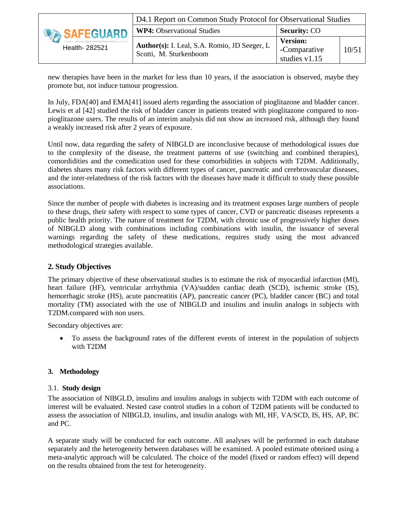|                    | D4.1 Report on Common Study Protocol for Observational Studies         |                                                    |       |  |  |
|--------------------|------------------------------------------------------------------------|----------------------------------------------------|-------|--|--|
| <b>DESAFEGUARD</b> | <b>WP4:</b> Observational Studies                                      | <b>Security: CO</b>                                |       |  |  |
| Health- 282521     | Author(s): I. Leal, S.A. Romio, JD Seeger, L<br>Scotti, M. Sturkenboom | <b>Version:</b><br>-Comparative<br>studies $v1.15$ | 10/51 |  |  |

new therapies have been in the market for less than 10 years, if the association is observed, maybe they promote but, not induce tumour progression.

In July, FDA[\[40\]](#page-48-8) and EMA[\[41\]](#page-48-9) issued alerts regarding the association of pioglitazone and bladder cancer. Lewis et al [\[42\]](#page-48-10) studied the risk of bladder cancer in patients treated with pioglitazone compared to nonpioglitazone users. The results of an interim analysis did not show an increased risk, although they found a weakly increased risk after 2 years of exposure.

Until now, data regarding the safety of NIBGLD are inconclusive because of methodological issues due to the complexity of the disease, the treatment patterns of use (switching and combined therapies), comordidities and the comedication used for these comorbidities in subjects with T2DM. Additionally, diabetes shares many risk factors with different types of cancer, pancreatic and cerebrovascular diseases, and the inter-relatedness of the risk factors with the diseases have made it difficult to study these possible associations.

Since the number of people with diabetes is increasing and its treatment exposes large numbers of people to these drugs, their safety with respect to some types of cancer, CVD or pancreatic diseases represents a public health priority. The nature of treatment for T2DM, with chronic use of progressively higher doses of NIBGLD along with combinations including combinations with insulin, the issuance of several warnings regarding the safety of these medications, requires study using the most advanced methodological strategies available.

# **2. Study Objectives**

<span id="page-9-0"></span>The primary objective of these observational studies is to estimate the risk of myocardial infarction (MI), heart failure (HF), ventricular arrhythmia (VA)/sudden cardiac death (SCD), ischemic stroke (IS), hemorrhagic stroke (HS), acute pancreatitis (AP), pancreatic cancer (PC), bladder cancer (BC) and total mortality (TM) associated with the use of NIBGLD and insulins and insulin analogs in subjects with T2DM.compared with non users.

Secondary objectives are:

 To assess the background rates of the different events of interest in the population of subjects with T2DM

#### **3. Methodology**

#### 3.1. **Study design**

<span id="page-9-2"></span><span id="page-9-1"></span>The association of NIBGLD, insulins and insulins analogs in subjects with T2DM with each outcome of interest will be evaluated. Nested case control studies in a cohort of T2DM patients will be conducted to assess the association of NIBGLD, insulins, and insulin analogs with MI, HF, VA/SCD, IS, HS, AP, BC and PC.

A separate study will be conducted for each outcome. All analyses will be performed in each database separately and the heterogeneity between databases will be examined. A pooled estimate obteined using a meta-analytic approach will be calculated. The choice of the model (fixed or random effect) will depend on the results obtained from the test for heterogeneity.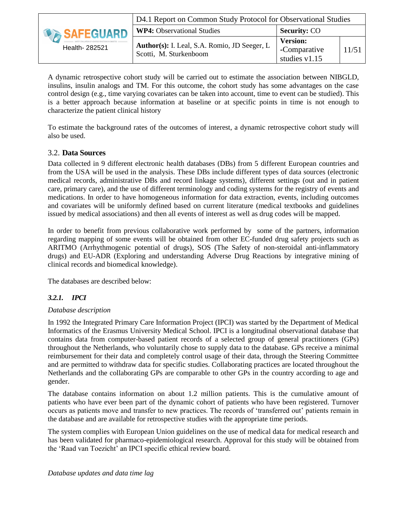|                     | D4.1 Report on Common Study Protocol for Observational Studies         |                                                    |       |  |  |  |
|---------------------|------------------------------------------------------------------------|----------------------------------------------------|-------|--|--|--|
| <b>DA SAFEGUARD</b> | <b>WP4:</b> Observational Studies                                      | <b>Security: CO</b>                                |       |  |  |  |
| Health- 282521      | Author(s): I. Leal, S.A. Romio, JD Seeger, L<br>Scotti, M. Sturkenboom | <b>Version:</b><br>-Comparative<br>studies $v1.15$ | 11/51 |  |  |  |

A dynamic retrospective cohort study will be carried out to estimate the association between NIBGLD, insulins, insulin analogs and TM. For this outcome, the cohort study has some advantages on the case control design (e.g., time varying covariates can be taken into account, time to event can be studied). This is a better approach because information at baseline or at specific points in time is not enough to characterize the patient clinical history

To estimate the background rates of the outcomes of interest, a dynamic retrospective cohort study will also be used.

#### 3.2. **Data Sources**

<span id="page-10-0"></span>Data collected in 9 different electronic health databases (DBs) from 5 different European countries and from the USA will be used in the analysis. These DBs include different types of data sources (electronic medical records, administrative DBs and record linkage systems), different settings (out and in patient care, primary care), and the use of different terminology and coding systems for the registry of events and medications. In order to have homogeneous information for data extraction, events, including outcomes and covariates will be uniformly defined based on current literature (medical textbooks and guidelines issued by medical associations) and then all events of interest as well as drug codes will be mapped.

In order to benefit from previous collaborative work performed by some of the partners, information regarding mapping of some events will be obtained from other EC-funded drug safety projects such as ARITMO (Arrhythmogenic potential of drugs), SOS (The Safety of non-steroidal anti-inflammatory drugs) and EU-ADR (Exploring and understanding Adverse Drug Reactions by integrative mining of clinical records and biomedical knowledge).

The databases are described below:

#### *3.2.1. IPCI*

#### *Database description*

<span id="page-10-1"></span>In 1992 the Integrated Primary Care Information Project (IPCI) was started by the Department of Medical Informatics of the Erasmus University Medical School. IPCI is a longitudinal observational database that contains data from computer-based patient records of a selected group of general practitioners (GPs) throughout the Netherlands, who voluntarily chose to supply data to the database. GPs receive a minimal reimbursement for their data and completely control usage of their data, through the Steering Committee and are permitted to withdraw data for specific studies. Collaborating practices are located throughout the Netherlands and the collaborating GPs are comparable to other GPs in the country according to age and gender.

The database contains information on about 1.2 million patients. This is the cumulative amount of patients who have ever been part of the dynamic cohort of patients who have been registered. Turnover occurs as patients move and transfer to new practices. The records of 'transferred out' patients remain in the database and are available for retrospective studies with the appropriate time periods.

The system complies with European Union guidelines on the use of medical data for medical research and has been validated for pharmaco-epidemiological research. Approval for this study will be obtained from the 'Raad van Toezicht' an IPCI specific ethical review board.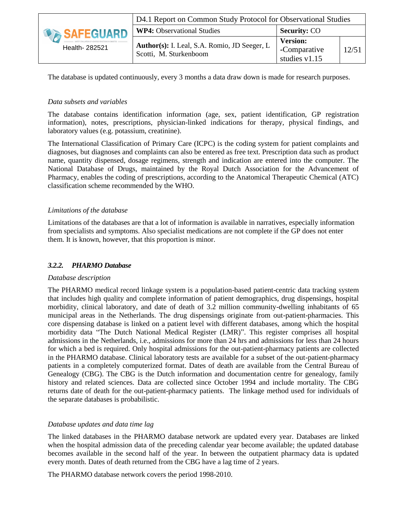|                | D4.1 Report on Common Study Protocol for Observational Studies         |                                                    |       |  |  |
|----------------|------------------------------------------------------------------------|----------------------------------------------------|-------|--|--|
| SAFEGUARD      | <b>WP4:</b> Observational Studies                                      | <b>Security: CO</b>                                |       |  |  |
| Health- 282521 | Author(s): I. Leal, S.A. Romio, JD Seeger, L<br>Scotti, M. Sturkenboom | <b>Version:</b><br>-Comparative<br>studies $v1.15$ | 12/51 |  |  |

The database is updated continuously, every 3 months a data draw down is made for research purposes.

#### *Data subsets and variables*

The database contains identification information (age, sex, patient identification, GP registration information), notes, prescriptions, physician-linked indications for therapy, physical findings, and laboratory values (e.g. potassium, creatinine).

The International Classification of Primary Care (ICPC) is the coding system for patient complaints and diagnoses, but diagnoses and complaints can also be entered as free text. Prescription data such as product name, quantity dispensed, dosage regimens, strength and indication are entered into the computer. The National Database of Drugs, maintained by the Royal Dutch Association for the Advancement of Pharmacy, enables the coding of prescriptions, according to the Anatomical Therapeutic Chemical (ATC) classification scheme recommended by the WHO.

#### *Limitations of the database*

Limitations of the databases are that a lot of information is available in narratives, especially information from specialists and symptoms. Also specialist medications are not complete if the GP does not enter them. It is known, however, that this proportion is minor.

#### *3.2.2. PHARMO Database*

#### *Database description*

<span id="page-11-0"></span>The PHARMO medical record linkage system is a population-based patient-centric data tracking system that includes high quality and complete information of patient demographics, drug dispensings, hospital morbidity, clinical laboratory, and date of death of 3.2 million community-dwelling inhabitants of 65 municipal areas in the Netherlands. The drug dispensings originate from out-patient-pharmacies. This core dispensing database is linked on a patient level with different databases, among which the hospital morbidity data "The Dutch National Medical Register (LMR)". This register comprises all hospital admissions in the Netherlands, i.e., admissions for more than 24 hrs and admissions for less than 24 hours for which a bed is required. Only hospital admissions for the out-patient-pharmacy patients are collected in the PHARMO database. Clinical laboratory tests are available for a subset of the out-patient-pharmacy patients in a completely computerized format. Dates of death are available from the Central Bureau of Genealogy (CBG). The CBG is the Dutch information and documentation centre for genealogy, family history and related sciences. Data are collected since October 1994 and include mortality. The CBG returns date of death for the out-patient-pharmacy patients. The linkage method used for individuals of the separate databases is probabilistic.

#### *Database updates and data time lag*

The linked databases in the PHARMO database network are updated every year. Databases are linked when the hospital admission data of the preceding calendar year become available; the updated database becomes available in the second half of the year. In between the outpatient pharmacy data is updated every month. Dates of death returned from the CBG have a lag time of 2 years.

The PHARMO database network covers the period 1998-2010.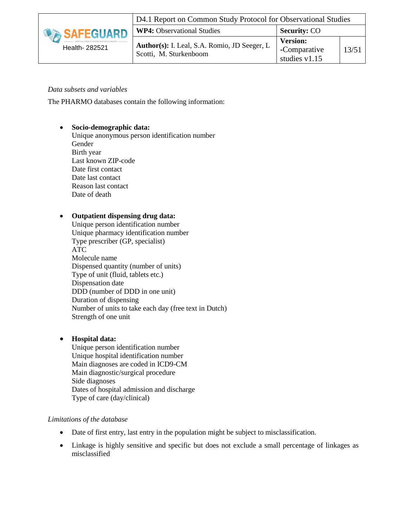

#### *Data subsets and variables*

The PHARMO databases contain the following information:

#### **Socio-demographic data:**

Unique anonymous person identification number Gender Birth year Last known ZIP-code Date first contact Date last contact Reason last contact Date of death

#### **Outpatient dispensing drug data:**

Unique person identification number Unique pharmacy identification number Type prescriber (GP, specialist) ATC Molecule name Dispensed quantity (number of units) Type of unit (fluid, tablets etc.) Dispensation date DDD (number of DDD in one unit) Duration of dispensing Number of units to take each day (free text in Dutch) Strength of one unit

#### **Hospital data:**

Unique person identification number Unique hospital identification number Main diagnoses are coded in ICD9-CM Main diagnostic/surgical procedure Side diagnoses Dates of hospital admission and discharge Type of care (day/clinical)

#### *Limitations of the database*

- Date of first entry, last entry in the population might be subject to misclassification.
- Linkage is highly sensitive and specific but does not exclude a small percentage of linkages as misclassified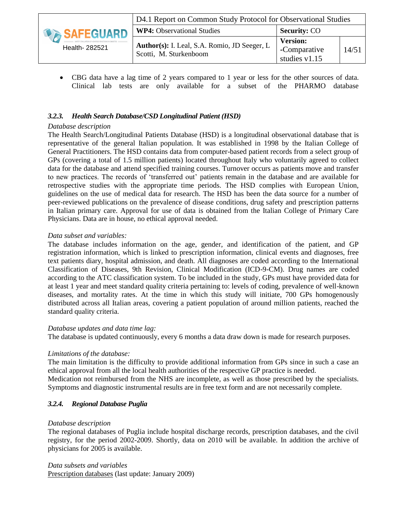|                  | D4.1 Report on Common Study Protocol for Observational Studies         |                                                    |       |  |  |
|------------------|------------------------------------------------------------------------|----------------------------------------------------|-------|--|--|
| <b>SAFEGUARD</b> | <b>WP4:</b> Observational Studies                                      | <b>Security: CO</b>                                |       |  |  |
| Health- 282521   | Author(s): I. Leal, S.A. Romio, JD Seeger, L<br>Scotti, M. Sturkenboom | <b>Version:</b><br>-Comparative<br>studies $v1.15$ | 14/51 |  |  |

 CBG data have a lag time of 2 years compared to 1 year or less for the other sources of data. Clinical lab tests are only available for a subset of the PHARMO database

#### *3.2.3. Health Search Database/CSD Longitudinal Patient (HSD)*

#### *Database description*

<span id="page-13-0"></span>The Health Search/Longitudinal Patients Database (HSD) is a longitudinal observational database that is representative of the general Italian population. It was established in 1998 by the Italian College of General Practitioners. The HSD contains data from computer-based patient records from a select group of GPs (covering a total of 1.5 million patients) located throughout Italy who voluntarily agreed to collect data for the database and attend specified training courses. Turnover occurs as patients move and transfer to new practices. The records of 'transferred out' patients remain in the database and are available for retrospective studies with the appropriate time periods. The HSD complies with European Union, guidelines on the use of medical data for research. The HSD has been the data source for a number of peer-reviewed publications on the prevalence of disease conditions, drug safety and prescription patterns in Italian primary care. Approval for use of data is obtained from the Italian College of Primary Care Physicians. Data are in house, no ethical approval needed.

#### *Data subset and variables:*

The database includes information on the age, gender, and identification of the patient, and GP registration information, which is linked to prescription information, clinical events and diagnoses, free text patients diary, hospital admission, and death. All diagnoses are coded according to the International Classification of Diseases, 9th Revision, Clinical Modification (ICD-9-CM). Drug names are coded according to the ATC classification system. To be included in the study, GPs must have provided data for at least 1 year and meet standard quality criteria pertaining to: levels of coding, prevalence of well-known diseases, and mortality rates. At the time in which this study will initiate, 700 GPs homogenously distributed across all Italian areas, covering a patient population of around million patients, reached the standard quality criteria.

#### *Database updates and data time lag:*

The database is updated continuously, every 6 months a data draw down is made for research purposes.

#### *Limitations of the database:*

The main limitation is the difficulty to provide additional information from GPs since in such a case an ethical approval from all the local health authorities of the respective GP practice is needed. Medication not reimbursed from the NHS are incomplete, as well as those prescribed by the specialists. Symptoms and diagnostic instrumental results are in free text form and are not necessarily complete.

#### *3.2.4. Regional Database Puglia*

#### *Database description*

<span id="page-13-1"></span>The regional databases of Puglia include hospital discharge records, prescription databases, and the civil registry, for the period 2002-2009. Shortly, data on 2010 will be available. In addition the archive of physicians for 2005 is available.

*Data subsets and variables* Prescription databases (last update: January 2009)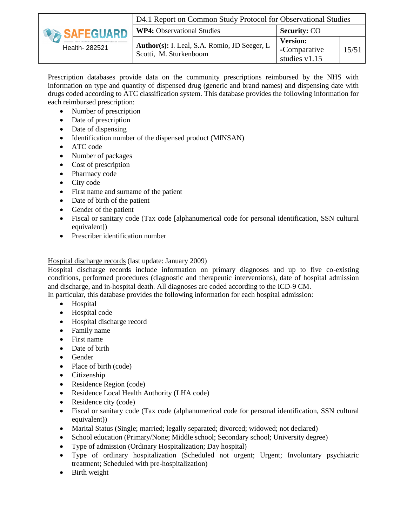|                | D4.1 Report on Common Study Protocol for Observational Studies         |                                                    |       |  |  |
|----------------|------------------------------------------------------------------------|----------------------------------------------------|-------|--|--|
| SAFEGUARD      | <b>WP4:</b> Observational Studies                                      | <b>Security: CO</b>                                |       |  |  |
| Health- 282521 | Author(s): I. Leal, S.A. Romio, JD Seeger, L<br>Scotti, M. Sturkenboom | <b>Version:</b><br>-Comparative<br>studies $v1.15$ | 15/51 |  |  |

Prescription databases provide data on the community prescriptions reimbursed by the NHS with information on type and quantity of dispensed drug (generic and brand names) and dispensing date with drugs coded according to ATC classification system. This database provides the following information for each reimbursed prescription:

- Number of prescription
- Date of prescription
- Date of dispensing
- Identification number of the dispensed product (MINSAN)
- ATC code
- Number of packages
- Cost of prescription
- Pharmacy code
- City code
- First name and surname of the patient
- Date of birth of the patient
- Gender of the patient
- Fiscal or sanitary code (Tax code [alphanumerical code for personal identification, SSN cultural equivalent])
- Prescriber identification number

#### Hospital discharge records (last update: January 2009)

Hospital discharge records include information on primary diagnoses and up to five co-existing conditions, performed procedures (diagnostic and therapeutic interventions), date of hospital admission and discharge, and in-hospital death. All diagnoses are coded according to the ICD-9 CM.

In particular, this database provides the following information for each hospital admission:

- Hospital
- Hospital code
- Hospital discharge record
- Family name
- First name
- Date of birth
- Gender
- Place of birth (code)
- Citizenship
- Residence Region (code)
- Residence Local Health Authority (LHA code)
- Residence city (code)
- Fiscal or sanitary code (Tax code (alphanumerical code for personal identification, SSN cultural equivalent))
- Marital Status (Single; married; legally separated; divorced; widowed; not declared)
- School education (Primary/None; Middle school; Secondary school; University degree)
- Type of admission (Ordinary Hospitalization; Day hospital)
- Type of ordinary hospitalization (Scheduled not urgent; Urgent; Involuntary psychiatric treatment; Scheduled with pre-hospitalization)
- Birth weight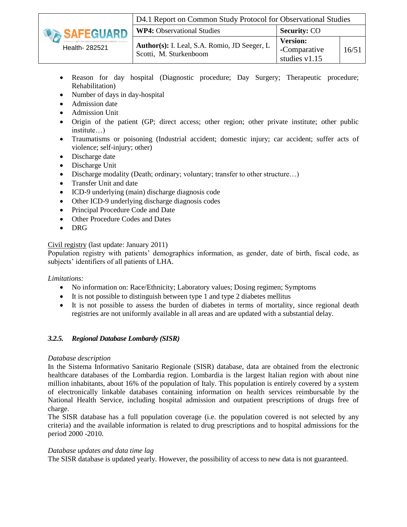

- Reason for day hospital (Diagnostic procedure; Day Surgery; Therapeutic procedure; Rehabilitation)
- Number of days in day-hospital
- Admission date
- Admission Unit
- Origin of the patient (GP; direct access; other region; other private institute; other public institute…)
- Traumatisms or poisoning (Industrial accident; domestic injury; car accident; suffer acts of violence; self-injury; other)
- Discharge date
- Discharge Unit
- Discharge modality (Death: ordinary; voluntary; transfer to other structure...)
- Transfer Unit and date
- ICD-9 underlying (main) discharge diagnosis code
- Other ICD-9 underlying discharge diagnosis codes
- Principal Procedure Code and Date
- Other Procedure Codes and Dates
- DRG

Civil registry (last update: January 2011)

Population registry with patients' demographics information, as gender, date of birth, fiscal code, as subjects' identifiers of all patients of LHA.

#### *Limitations:*

- No information on: Race/Ethnicity; Laboratory values; Dosing regimen; Symptoms
- $\bullet$  It is not possible to distinguish between type 1 and type 2 diabetes mellitus
- It is not possible to assess the burden of diabetes in terms of mortality, since regional death registries are not uniformly available in all areas and are updated with a substantial delay.

#### *3.2.5. Regional Database Lombardy (SISR)*

#### *Database description*

<span id="page-15-0"></span>In the Sistema Informativo Sanitario Regionale (SISR) database, data are obtained from the electronic healthcare databases of the Lombardia region. Lombardia is the largest Italian region with about nine million inhabitants, about 16% of the population of Italy. This population is entirely covered by a system of electronically linkable databases containing information on health services reimbursable by the National Health Service, including hospital admission and outpatient prescriptions of drugs free of charge.

The SISR database has a full population coverage (i.e. the population covered is not selected by any criteria) and the available information is related to drug prescriptions and to hospital admissions for the period 2000 -2010.

#### *Database updates and data time lag*

The SISR database is updated yearly. However, the possibility of access to new data is not guaranteed.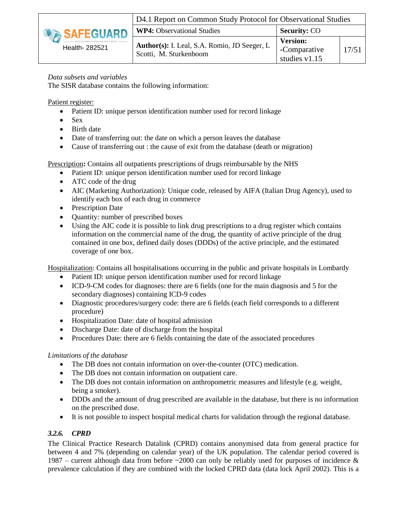

#### *Data subsets and variables*

The SISR database contains the following information:

Patient register:

- Patient ID: unique person identification number used for record linkage
- $\bullet$  Sex
- Birth date
- Date of transferring out: the date on which a person leaves the database
- Cause of transferring out : the cause of exit from the database (death or migration)

Prescription**:** Contains all outpatients prescriptions of drugs reimbursable by the NHS

- Patient ID: unique person identification number used for record linkage
- ATC code of the drug
- AIC (Marketing Authorization): Unique code, released by AIFA (Italian Drug Agency), used to identify each box of each drug in commerce
- Prescription Date
- Quantity: number of prescribed boxes
- Using the AIC code it is possible to link drug prescriptions to a drug register which contains information on the commercial name of the drug, the quantity of active principle of the drug contained in one box, defined daily doses (DDDs) of the active principle, and the estimated coverage of one box.

Hospitalization: Contains all hospitalisations occurring in the public and private hospitals in Lombardy

- Patient ID: unique person identification number used for record linkage
- ICD-9-CM codes for diagnoses: there are 6 fields (one for the main diagnosis and 5 for the secondary diagnoses) containing ICD-9 codes
- Diagnostic procedures/surgery code: there are 6 fields (each field corresponds to a different procedure)
- Hospitalization Date: date of hospital admission
- Discharge Date: date of discharge from the hospital
- Procedures Date: there are 6 fields containing the date of the associated procedures

#### *Limitations of the database*

- The DB does not contain information on over-the-counter (OTC) medication.
- The DB does not contain information on outpatient care.
- The DB does not contain information on anthropometric measures and lifestyle (e.g. weight, being a smoker).
- DDDs and the amount of drug prescribed are available in the database, but there is no information on the prescribed dose.
- It is not possible to inspect hospital medical charts for validation through the regional database.

#### *3.2.6. CPRD*

<span id="page-16-0"></span>The Clinical Practice Research Datalink (CPRD) contains anonymised data from general practice for between 4 and 7% (depending on calendar year) of the UK population. The calendar period covered is 1987 – current although data from before  $\sim$ 2000 can only be reliably used for purposes of incidence & prevalence calculation if they are combined with the locked CPRD data (data lock April 2002). This is a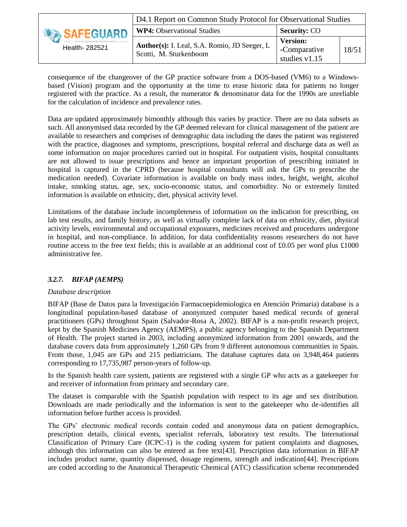|                  | D4.1 Report on Common Study Protocol for Observational Studies         |                                                  |       |  |  |  |
|------------------|------------------------------------------------------------------------|--------------------------------------------------|-------|--|--|--|
| <b>SAFEGUARD</b> | <b>WP4: Observational Studies</b>                                      | <b>Security: CO</b>                              |       |  |  |  |
| Health- 282521   | Author(s): I. Leal, S.A. Romio, JD Seeger, L<br>Scotti, M. Sturkenboom | <b>Version:</b><br>-Comparative<br>studies v1.15 | 18/51 |  |  |  |

consequence of the changeover of the GP practice software from a DOS-based (VM6) to a Windowsbased (Vision) program and the opportunity at the time to erase historic data for patients no longer registered with the practice. As a result, the numerator & denominator data for the 1990s are unreliable for the calculation of incidence and prevalence rates.

Data are updated approximately bimonthly although this varies by practice. There are no data subsets as such. All anonymised data recorded by the GP deemed relevant for clinical management of the patient are available to researchers and comprises of demographic data including the dates the patient was registered with the practice, diagnoses and symptoms, prescriptions, hospital referral and discharge data as well as some information on major procedures carried out in hospital. For outpatient visits, hospital consultants are not allowed to issue prescriptions and hence an important proportion of prescribing initiated in hospital is captured in the CPRD (because hospital consultants will ask the GPs to prescribe the medication needed). Covariate information is available on body mass index, height, weight, alcohol intake, smoking status, age, sex, socio-economic status, and comorbidity. No or extremely limited information is available on ethnicity, diet, physical activity level.

Limitations of the database include incompleteness of information on the indication for prescribing, on lab test results, and family history, as well as virtually complete lack of data on ethnicity, diet, physical activity levels, environmental and occupational exposures, medicines received and procedures undergone in hospital, and non-compliance. In addition, for data confidentiality reasons researchers do not have routine access to the free text fields; this is available at an additional cost of £0.05 per word plus £1000 administrative fee.

#### *3.2.7. BIFAP (AEMPS)*

#### *Database description*

<span id="page-17-0"></span>BIFAP (Base de Datos para la Investigación Farmacoepidemiologica en Atención Primaria) database is a longitudinal population-based database of anonymzed computer based medical records of general practitioners (GPs) throughout Spain (Salvador-Rosa A, 2002). BIFAP is a non-profit research project, kept by the Spanish Medicines Agency (AEMPS), a public agency belonging to the Spanish Department of Health. The project started in 2003, including anonymized information from 2001 onwards, and the database covers data from approximately 1,260 GPs from 9 different autonomous communities in Spain. From those, 1,045 are GPs and 215 pediatricians. The database captures data on 3,948,464 patients corresponding to 17,735,987 person-years of follow-up.

In the Spanish health care system, patients are registered with a single GP who acts as a gatekeeper for and receiver of information from primary and secondary care.

The dataset is comparable with the Spanish population with respect to its age and sex distribution. Downloads are made periodically and the information is sent to the gatekeeper who de-identifies all information before further access is provided.

The GPs' electronic medical records contain coded and anonymous data on patient demographics, prescription details, clinical events, specialist referrals, laboratory test results. The International Classification of Primary Care (ICPC-1) is the coding system for patient complaints and diagnoses, although this information can also be entered as free text[\[43\]](#page-48-11). Prescription data information in BIFAP includes product name, quantity dispensed, dosage regimens, strength and indication[\[44\]](#page-48-12). Prescriptions are coded according to the Anatomical Therapeutic Chemical (ATC) classification scheme recommended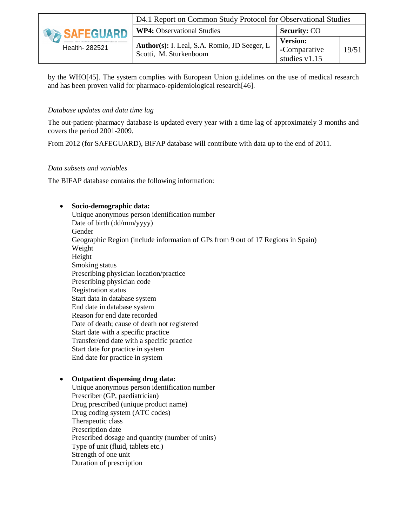|                | D4.1 Report on Common Study Protocol for Observational Studies                |                                                    |       |  |  |
|----------------|-------------------------------------------------------------------------------|----------------------------------------------------|-------|--|--|
| SAFEGUARD      | <b>WP4:</b> Observational Studies                                             | <b>Security: CO</b>                                |       |  |  |
| Health- 282521 | <b>Author(s):</b> I. Leal, S.A. Romio, JD Seeger, L<br>Scotti, M. Sturkenboom | <b>Version:</b><br>-Comparative<br>studies $v1.15$ | 19/51 |  |  |

by the WHO[\[45\]](#page-48-13). The system complies with European Union guidelines on the use of medical research and has been proven valid for pharmaco-epidemiological research[\[46\]](#page-48-14).

#### *Database updates and data time lag*

The out-patient-pharmacy database is updated every year with a time lag of approximately 3 months and covers the period 2001-2009.

From 2012 (for SAFEGUARD), BIFAP database will contribute with data up to the end of 2011.

#### *Data subsets and variables*

The BIFAP database contains the following information:

#### **Socio-demographic data:**

Unique anonymous person identification number Date of birth (dd/mm/yyyy) Gender Geographic Region (include information of GPs from 9 out of 17 Regions in Spain) Weight Height Smoking status Prescribing physician location/practice Prescribing physician code Registration status Start data in database system End date in database system Reason for end date recorded Date of death; cause of death not registered Start date with a specific practice Transfer/end date with a specific practice Start date for practice in system End date for practice in system

#### **Outpatient dispensing drug data:**

Unique anonymous person identification number Prescriber (GP, paediatrician) Drug prescribed (unique product name) Drug coding system (ATC codes) Therapeutic class Prescription date Prescribed dosage and quantity (number of units) Type of unit (fluid, tablets etc.) Strength of one unit Duration of prescription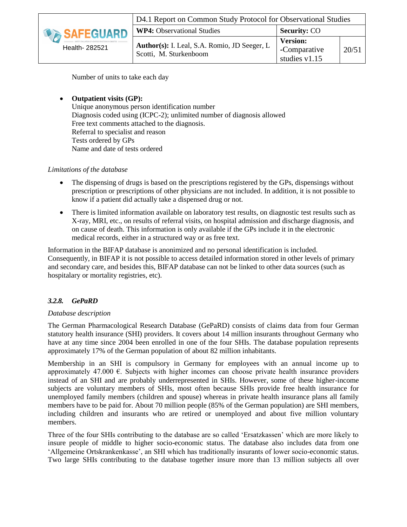|                | D4.1 Report on Common Study Protocol for Observational Studies         |                                                    |       |  |  |
|----------------|------------------------------------------------------------------------|----------------------------------------------------|-------|--|--|
| SAFEGUARD H    | <b>WP4:</b> Observational Studies                                      | <b>Security: CO</b>                                |       |  |  |
| Health- 282521 | Author(s): I. Leal, S.A. Romio, JD Seeger, L<br>Scotti, M. Sturkenboom | <b>Version:</b><br>-Comparative<br>studies $v1.15$ | 20/51 |  |  |

Number of units to take each day

 **Outpatient visits (GP):**  Unique anonymous person identification number Diagnosis coded using (ICPC-2); unlimited number of diagnosis allowed Free text comments attached to the diagnosis. Referral to specialist and reason Tests ordered by GPs Name and date of tests ordered

#### *Limitations of the database*

- The dispensing of drugs is based on the prescriptions registered by the GPs, dispensings without prescription or prescriptions of other physicians are not included. In addition, it is not possible to know if a patient did actually take a dispensed drug or not.
- There is limited information available on laboratory test results, on diagnostic test results such as X-ray, MRI, etc., on results of referral visits, on hospital admission and discharge diagnosis, and on cause of death. This information is only available if the GPs include it in the electronic medical records, either in a structured way or as free text.

Information in the BIFAP database is anonimized and no personal identification is included. Consequently, in BIFAP it is not possible to access detailed information stored in other levels of primary and secondary care, and besides this, BIFAP database can not be linked to other data sources (such as hospitalary or mortality registries, etc).

#### *3.2.8. GePaRD*

#### *Database description*

<span id="page-19-0"></span>The German Pharmacological Research Database (GePaRD) consists of claims data from four German statutory health insurance (SHI) providers. It covers about 14 million insurants throughout Germany who have at any time since 2004 been enrolled in one of the four SHIs. The database population represents approximately 17% of the German population of about 82 million inhabitants.

Membership in an SHI is compulsory in Germany for employees with an annual income up to approximately 47.000  $\epsilon$ . Subjects with higher incomes can choose private health insurance providers instead of an SHI and are probably underrepresented in SHIs. However, some of these higher-income subjects are voluntary members of SHIs, most often because SHIs provide free health insurance for unemployed family members (children and spouse) whereas in private health insurance plans all family members have to be paid for. About 70 million people (85% of the German population) are SHI members, including children and insurants who are retired or unemployed and about five million voluntary members.

Three of the four SHIs contributing to the database are so called 'Ersatzkassen' which are more likely to insure people of middle to higher socio-economic status. The database also includes data from one 'Allgemeine Ortskrankenkasse', an SHI which has traditionally insurants of lower socio-economic status. Two large SHIs contributing to the database together insure more than 13 million subjects all over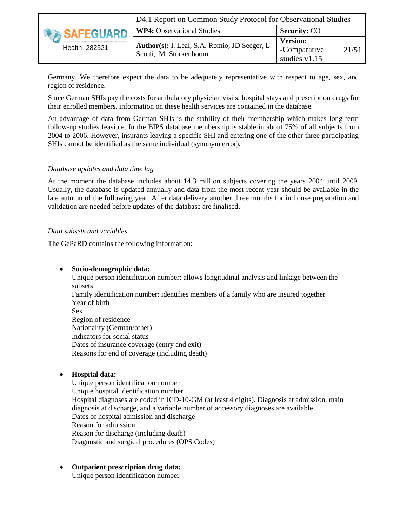|                | D4.1 Report on Common Study Protocol for Observational Studies         |                                                    |       |  |  |
|----------------|------------------------------------------------------------------------|----------------------------------------------------|-------|--|--|
| SAFEGUARD      | <b>WP4:</b> Observational Studies                                      | <b>Security: CO</b>                                |       |  |  |
| Health- 282521 | Author(s): I. Leal, S.A. Romio, JD Seeger, L<br>Scotti, M. Sturkenboom | <b>Version:</b><br>-Comparative<br>studies $v1.15$ | 21/51 |  |  |

Germany. We therefore expect the data to be adequately representative with respect to age, sex, and region of residence.

Since German SHIs pay the costs for ambulatory physician visits, hospital stays and prescription drugs for their enrolled members, information on these health services are contained in the database.

An advantage of data from German SHIs is the stability of their membership which makes long term follow-up studies feasible. In the BIPS database membership is stable in about 75% of all subjects from 2004 to 2006. However, insurants leaving a specific SHI and entering one of the other three participating SHIs cannot be identified as the same individual (synonym error).

#### *Database updates and data time lag*

At the moment the database includes about 14.3 million subjects covering the years 2004 until 2009. Usually, the database is updated annually and data from the most recent year should be available in the late autumn of the following year. After data delivery another three months for in house preparation and validation are needed before updates of the database are finalised.

#### *Data subsets and variables*

The GePaRD contains the following information:

#### **Socio-demographic data:**

Unique person identification number: allows longitudinal analysis and linkage between the subsets Family identification number: identifies members of a family who are insured together Year of birth Sex Region of residence Nationality (German/other) Indicators for social status Dates of insurance coverage (entry and exit) Reasons for end of coverage (including death)

#### **Hospital data:**

Unique person identification number Unique hospital identification number Hospital diagnoses are coded in ICD-10-GM (at least 4 digits). Diagnosis at admission, main diagnosis at discharge, and a variable number of accessory diagnoses are available Dates of hospital admission and discharge Reason for admission Reason for discharge (including death) Diagnostic and surgical procedures (OPS Codes)

 **Outpatient prescription drug data:**  Unique person identification number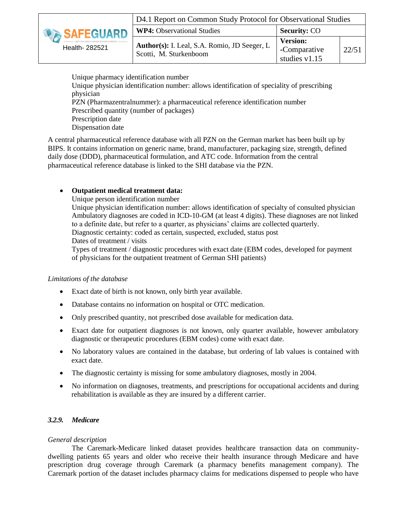

Unique pharmacy identification number Unique physician identification number: allows identification of speciality of prescribing physician PZN (Pharmazentralnummer): a pharmaceutical reference identification number Prescribed quantity (number of packages) Prescription date Dispensation date

A central pharmaceutical reference database with all PZN on the German market has been built up by BIPS. It contains information on generic name, brand, manufacturer, packaging size, strength, defined daily dose (DDD), pharmaceutical formulation, and ATC code. Information from the central pharmaceutical reference database is linked to the SHI database via the PZN.

#### **Outpatient medical treatment data:**

Unique person identification number

Unique physician identification number: allows identification of specialty of consulted physician Ambulatory diagnoses are coded in ICD-10-GM (at least 4 digits). These diagnoses are not linked to a definite date, but refer to a quarter, as physicians' claims are collected quarterly. Diagnostic certainty: coded as certain, suspected, excluded, status post Dates of treatment / visits

Types of treatment / diagnostic procedures with exact date (EBM codes, developed for payment of physicians for the outpatient treatment of German SHI patients)

#### *Limitations of the database*

- Exact date of birth is not known, only birth year available.
- Database contains no information on hospital or OTC medication.
- Only prescribed quantity, not prescribed dose available for medication data.
- Exact date for outpatient diagnoses is not known, only quarter available, however ambulatory diagnostic or therapeutic procedures (EBM codes) come with exact date.
- No laboratory values are contained in the database, but ordering of lab values is contained with exact date.
- The diagnostic certainty is missing for some ambulatory diagnoses, mostly in 2004.
- No information on diagnoses, treatments, and prescriptions for occupational accidents and during rehabilitation is available as they are insured by a different carrier.

#### *3.2.9. Medicare*

#### <span id="page-21-0"></span>*General description*

The Caremark-Medicare linked dataset provides healthcare transaction data on communitydwelling patients 65 years and older who receive their health insurance through Medicare and have prescription drug coverage through Caremark (a pharmacy benefits management company). The Caremark portion of the dataset includes pharmacy claims for medications dispensed to people who have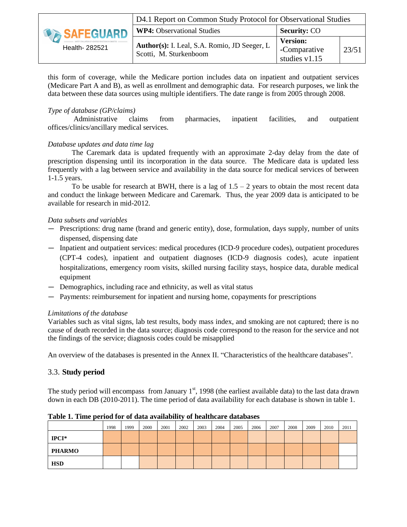|                | D4.1 Report on Common Study Protocol for Observational Studies         |                                                    |       |  |  |
|----------------|------------------------------------------------------------------------|----------------------------------------------------|-------|--|--|
| SAFEGUARD      | <b>WP4:</b> Observational Studies                                      | <b>Security: CO</b>                                |       |  |  |
| Health- 282521 | Author(s): I. Leal, S.A. Romio, JD Seeger, L<br>Scotti, M. Sturkenboom | <b>Version:</b><br>-Comparative<br>studies $v1.15$ | 23/51 |  |  |

this form of coverage, while the Medicare portion includes data on inpatient and outpatient services (Medicare Part A and B), as well as enrollment and demographic data. For research purposes, we link the data between these data sources using multiple identifiers. The date range is from 2005 through 2008.

#### *Type of database (GP/claims)*

Administrative claims from pharmacies, inpatient facilities, and outpatient offices/clinics/ancillary medical services.

#### *Database updates and data time lag*

The Caremark data is updated frequently with an approximate 2-day delay from the date of prescription dispensing until its incorporation in the data source. The Medicare data is updated less frequently with a lag between service and availability in the data source for medical services of between 1-1.5 years.

To be usable for research at BWH, there is a lag of  $1.5 - 2$  years to obtain the most recent data and conduct the linkage between Medicare and Caremark. Thus, the year 2009 data is anticipated to be available for research in mid-2012.

#### *Data subsets and variables*

- Prescriptions: drug name (brand and generic entity), dose, formulation, days supply, number of units dispensed, dispensing date
- Inpatient and outpatient services: medical procedures (ICD-9 procedure codes), outpatient procedures (CPT-4 codes), inpatient and outpatient diagnoses (ICD-9 diagnosis codes), acute inpatient hospitalizations, emergency room visits, skilled nursing facility stays, hospice data, durable medical equipment
- Demographics, including race and ethnicity, as well as vital status
- Payments: reimbursement for inpatient and nursing home, copayments for prescriptions

#### *Limitations of the database*

Variables such as vital signs, lab test results, body mass index, and smoking are not captured; there is no cause of death recorded in the data source; diagnosis code correspond to the reason for the service and not the findings of the service; diagnosis codes could be misapplied

An overview of the databases is presented in the Annex II. "Characteristics of the healthcare databases".

#### 3.3. **Study period**

<span id="page-22-0"></span>The study period will encompass from January  $1<sup>st</sup>$ , 1998 (the earliest available data) to the last data drawn down in each DB (2010-2011). The time period of data availability for each database is shown in table 1.

|               | 1998 | 1999 | 2000 | 2001 | 2002 | 2003 | 2004 | 2005 | 2006 | 2007 | 2008 | 2009 | 2010 | 2011 |
|---------------|------|------|------|------|------|------|------|------|------|------|------|------|------|------|
| $IPCI*$       |      |      |      |      |      |      |      |      |      |      |      |      |      |      |
| <b>PHARMO</b> |      |      |      |      |      |      |      |      |      |      |      |      |      |      |
| <b>HSD</b>    |      |      |      |      |      |      |      |      |      |      |      |      |      |      |

**Table 1. Time period for of data availability of healthcare databases**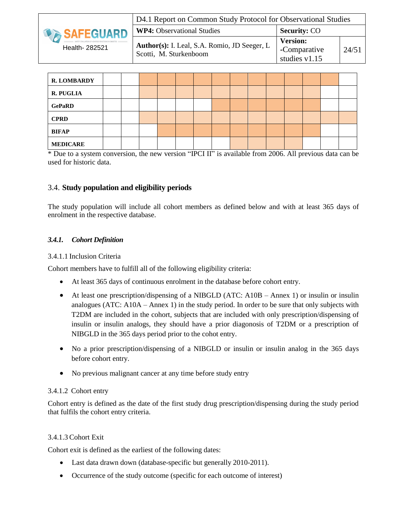|                  | D4.1 Report on Common Study Protocol for Observational Studies         |                                                  |       |  |  |
|------------------|------------------------------------------------------------------------|--------------------------------------------------|-------|--|--|
| <b>SAFEGUARD</b> | <b>WP4: Observational Studies</b>                                      | <b>Security: CO</b>                              |       |  |  |
| Health- 282521   | Author(s): I. Leal, S.A. Romio, JD Seeger, L<br>Scotti, M. Sturkenboom | <b>Version:</b><br>-Comparative<br>studies v1.15 | 24/51 |  |  |

| <b>R. LOMBARDY</b> |  |  |  |  |  |  |  |
|--------------------|--|--|--|--|--|--|--|
| <b>R. PUGLIA</b>   |  |  |  |  |  |  |  |
| <b>GePaRD</b>      |  |  |  |  |  |  |  |
| <b>CPRD</b>        |  |  |  |  |  |  |  |
| <b>BIFAP</b>       |  |  |  |  |  |  |  |
| <b>MEDICARE</b>    |  |  |  |  |  |  |  |

\* Due to a system conversion, the new version "IPCI II" is available from 2006. All previous data can be used for historic data.

#### 3.4. **Study population and eligibility periods**

<span id="page-23-0"></span>The study population will include all cohort members as defined below and with at least 365 days of enrolment in the respective database.

#### *3.4.1. Cohort Definition*

#### 3.4.1.1 Inclusion Criteria

<span id="page-23-1"></span>Cohort members have to fulfill all of the following eligibility criteria:

- At least 365 days of continuous enrolment in the database before cohort entry.
- At least one prescription/dispensing of a NIBGLD (ATC: A10B Annex 1) or insulin or insulin analogues (ATC: A10A – Annex 1) in the study period. In order to be sure that only subjects with T2DM are included in the cohort, subjects that are included with only prescription/dispensing of insulin or insulin analogs, they should have a prior diagonosis of T2DM or a prescription of NIBGLD in the 365 days period prior to the cohot entry.
- No a prior prescription/dispensing of a NIBGLD or insulin or insulin analog in the 365 days before cohort entry.
- No previous malignant cancer at any time before study entry

#### 3.4.1.2 Cohort entry

Cohort entry is defined as the date of the first study drug prescription/dispensing during the study period that fulfils the cohort entry criteria.

#### 3.4.1.3 Cohort Exit

Cohort exit is defined as the earliest of the following dates:

- Last data drawn down (database-specific but generally 2010-2011).
- Occurrence of the study outcome (specific for each outcome of interest)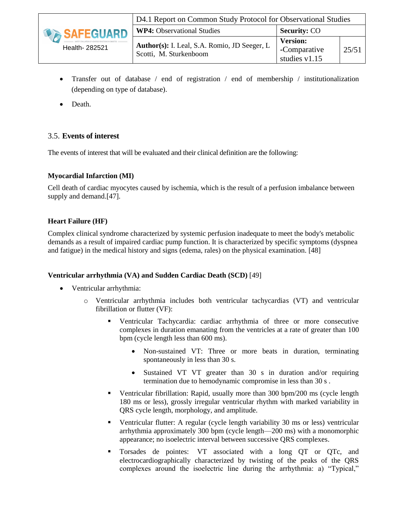

- Transfer out of database / end of registration / end of membership / institutionalization (depending on type of database).
- Death.

## 3.5. **Events of interest**

<span id="page-24-0"></span>The events of interest that will be evaluated and their clinical definition are the following:

#### <span id="page-24-1"></span>**Myocardial Infarction (MI)**

Cell death of cardiac myocytes caused by ischemia, which is the result of a perfusion imbalance between supply and demand.[\[47\]](#page-48-15).

#### **Heart Failure (HF)**

Complex clinical syndrome characterized by systemic perfusion inadequate to meet the body's metabolic demands as a result of impaired cardiac pump function. It is characterized by specific symptoms (dyspnea and fatigue) in the medical history and signs (edema, rales) on the physical examination. [\[48\]](#page-48-16)

#### **Ventricular arrhythmia (VA) and Sudden Cardiac Death (SCD)** [\[49\]](#page-49-0)

- Ventricular arrhythmia:
	- o Ventricular arrhythmia includes both ventricular tachycardias (VT) and ventricular fibrillation or flutter (VF):
		- Ventricular Tachycardia: cardiac arrhythmia of three or more consecutive complexes in duration emanating from the ventricles at a rate of greater than 100 bpm (cycle length less than 600 ms).
			- Non-sustained VT: Three or more beats in duration, terminating spontaneously in less than 30 s.
			- Sustained VT VT greater than 30 s in duration and/or requiring termination due to hemodynamic compromise in less than 30 s .
		- Ventricular fibrillation: Rapid, usually more than 300 bpm/200 ms (cycle length 180 ms or less), grossly irregular ventricular rhythm with marked variability in QRS cycle length, morphology, and amplitude.
		- Ventricular flutter: A regular (cycle length variability 30 ms or less) ventricular arrhythmia approximately 300 bpm (cycle length—200 ms) with a monomorphic appearance; no isoelectric interval between successive QRS complexes.
		- Torsades de pointes: VT associated with a long QT or QTc, and electrocardiographically characterized by twisting of the peaks of the QRS complexes around the isoelectric line during the arrhythmia: a) "Typical,"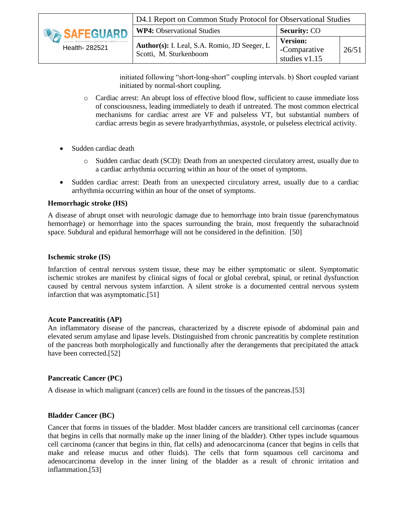|                  | D4.1 Report on Common Study Protocol for Observational Studies         |                                                  |       |  |  |  |  |  |  |
|------------------|------------------------------------------------------------------------|--------------------------------------------------|-------|--|--|--|--|--|--|
| <b>SAFEGUARD</b> | <b>WP4:</b> Observational Studies                                      | <b>Security: CO</b>                              |       |  |  |  |  |  |  |
| Health- 282521   | Author(s): I. Leal, S.A. Romio, JD Seeger, L<br>Scotti, M. Sturkenboom | <b>Version:</b><br>-Comparative<br>studies v1.15 | 26/51 |  |  |  |  |  |  |

initiated following "short-long-short" coupling intervals. b) Short coupled variant initiated by normal-short coupling.

- o Cardiac arrest: An abrupt loss of effective blood flow, sufficient to cause immediate loss of consciousness, leading immediately to death if untreated. The most common electrical mechanisms for cardiac arrest are VF and pulseless VT, but substantial numbers of cardiac arrests begin as severe bradyarrhythmias, asystole, or pulseless electrical activity.
- Sudden cardiac death
	- o Sudden cardiac death (SCD): Death from an unexpected circulatory arrest, usually due to a cardiac arrhythmia occurring within an hour of the onset of symptoms.
- Sudden cardiac arrest: Death from an unexpected circulatory arrest, usually due to a cardiac arrhythmia occurring within an hour of the onset of symptoms.

#### **Hemorrhagic stroke (HS)**

A disease of abrupt onset with neurologic damage due to hemorrhage into brain tissue (parenchymatous hemorrhage) or hemorrhage into the spaces surrounding the brain, most frequently the subarachnoid space. Subdural and epidural hemorrhage will not be considered in the definition. [\[50\]](#page-49-1)

#### **Ischemic stroke (IS)**

Infarction of central nervous system tissue, these may be either symptomatic or silent. Symptomatic ischemic strokes are manifest by clinical signs of focal or global cerebral, spinal, or retinal dysfunction caused by central nervous system infarction. A silent stroke is a documented central nervous system infarction that was asymptomatic.[\[51\]](#page-49-2)

#### **Acute Pancreatitis (AP)**

An inflammatory disease of the pancreas, characterized by a discrete episode of abdominal pain and elevated serum amylase and lipase levels. Distinguished from chronic pancreatitis by complete restitution of the pancreas both morphologically and functionally after the derangements that precipitated the attack have been corrected.[\[52\]](#page-49-3)

#### **Pancreatic Cancer (PC)**

A disease in which malignant (cancer) cells are found in the tissues of the pancreas.[\[53\]](#page-49-4)

#### **Bladder Cancer (BC)**

Cancer that forms in tissues of the bladder. Most bladder cancers are transitional cell carcinomas (cancer that begins in cells that normally make up the inner lining of the bladder). Other types include squamous cell carcinoma (cancer that begins in thin, flat cells) and adenocarcinoma (cancer that begins in cells that make and release mucus and other fluids). The cells that form squamous cell carcinoma and adenocarcinoma develop in the inner lining of the bladder as a result of chronic irritation and inflammation.[\[53\]](#page-49-4)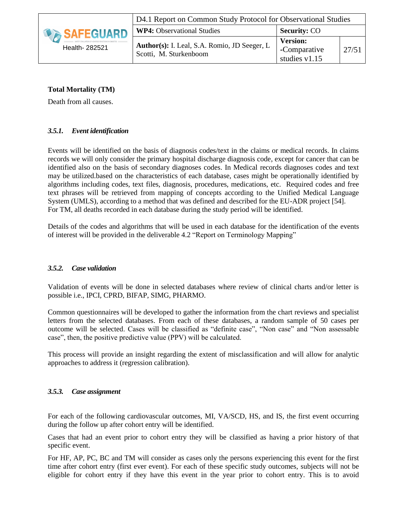|                | D4.1 Report on Common Study Protocol for Observational Studies          |                                                  |       |  |  |  |  |  |  |
|----------------|-------------------------------------------------------------------------|--------------------------------------------------|-------|--|--|--|--|--|--|
| SAFEGUARD -    | <b>WP4:</b> Observational Studies                                       | <b>Security: CO</b>                              |       |  |  |  |  |  |  |
| Health- 282521 | Author(s): I. Leal, S.A. Romio, JD Seeger, L.<br>Scotti, M. Sturkenboom | <b>Version:</b><br>-Comparative<br>studies v1.15 | 27/51 |  |  |  |  |  |  |

## **Total Mortality (TM)**

Death from all causes.

#### *3.5.1. Event identification*

<span id="page-26-0"></span>Events will be identified on the basis of diagnosis codes/text in the claims or medical records. In claims records we will only consider the primary hospital discharge diagnosis code, except for cancer that can be identified also on the basis of secondary diagnoses codes. In Medical records diagnoses codes and text may be utilized.based on the characteristics of each database, cases might be operationally identified by algorithms including codes, text files, diagnosis, procedures, medications, etc. Required codes and free text phrases will be retrieved from mapping of concepts according to the Unified Medical Language System (UMLS), according to a method that was defined and described for the EU-ADR project [\[54\]](#page-49-5). For TM, all deaths recorded in each database during the study period will be identified.

Details of the codes and algorithms that will be used in each database for the identification of the events of interest will be provided in the deliverable 4.2 "Report on Terminology Mapping"

#### *3.5.2. Case validation*

<span id="page-26-1"></span>Validation of events will be done in selected databases where review of clinical charts and/or letter is possible i.e., IPCI, CPRD, BIFAP, SIMG, PHARMO.

Common questionnaires will be developed to gather the information from the chart reviews and specialist letters from the selected databases. From each of these databases, a random sample of 50 cases per outcome will be selected. Cases will be classified as "definite case", "Non case" and "Non assessable case", then, the positive predictive value (PPV) will be calculated.

This process will provide an insight regarding the extent of misclassification and will allow for analytic approaches to address it (regression calibration).

#### *3.5.3. Case assignment*

<span id="page-26-2"></span>For each of the following cardiovascular outcomes, MI, VA/SCD, HS, and IS, the first event occurring during the follow up after cohort entry will be identified.

Cases that had an event prior to cohort entry they will be classified as having a prior history of that specific event.

For HF, AP, PC, BC and TM will consider as cases only the persons experiencing this event for the first time after cohort entry (first ever event). For each of these specific study outcomes, subjects will not be eligible for cohort entry if they have this event in the year prior to cohort entry. This is to avoid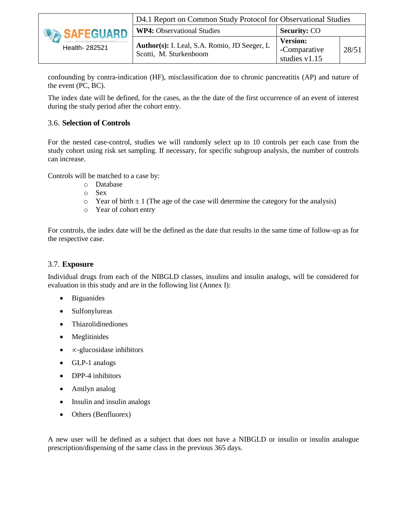

confounding by contra-indication (HF), misclassification due to chronic pancreatitis (AP) and nature of the event (PC, BC).

The index date will be defined, for the cases, as the the date of the first occurrence of an event of interest during the study period after the cohort entry.

#### 3.6. **Selection of Controls**

<span id="page-27-0"></span>For the nested case-control, studies we will randomly select up to 10 controls per each case from the study cohort using risk set sampling. If necessary, for specific subgroup analysis, the number of controls can increase.

Controls will be matched to a case by:

- o Database
- o Sex
- $\circ$  Year of birth  $\pm 1$  (The age of the case will determine the category for the analysis)
- o Year of cohort entry

For controls, the index date will be the defined as the date that results in the same time of follow-up as for the respective case.

#### 3.7. **Exposure**

<span id="page-27-1"></span>Individual drugs from each of the NIBGLD classes, insulins and insulin analogs, will be considered for evaluation in this study and are in the following list (Annex I):

- Biguanides
- Sulfonylureas
- Thiazolidinediones
- Meglitinides
- $\bullet$   $\infty$ -glucosidase inhibitors
- GLP-1 analogs
- DPP-4 inhibitors
- Amilyn analog
- Insulin and insulin analogs
- Others (Benfluorex)

A new user will be defined as a subject that does not have a NIBGLD or insulin or insulin analogue prescription/dispensing of the same class in the previous 365 days.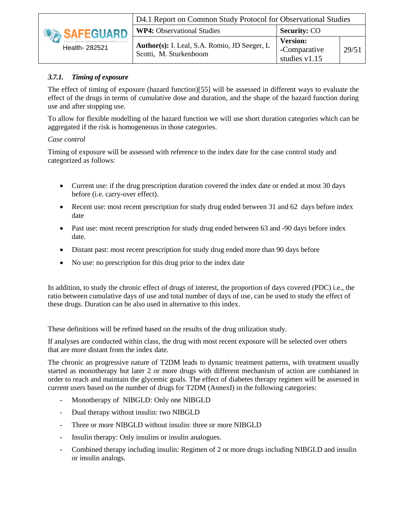|                | D4.1 Report on Common Study Protocol for Observational Studies         |                                                    |       |  |  |  |  |  |
|----------------|------------------------------------------------------------------------|----------------------------------------------------|-------|--|--|--|--|--|
| SAFEGUARD      | <b>WP4:</b> Observational Studies                                      | <b>Security: CO</b>                                |       |  |  |  |  |  |
| Health- 282521 | Author(s): I. Leal, S.A. Romio, JD Seeger, L<br>Scotti, M. Sturkenboom | <b>Version:</b><br>-Comparative<br>studies $v1.15$ | 29/51 |  |  |  |  |  |

## *3.7.1. Timing of exposure*

The effect of timing of exposure (hazard function)[\[55\]](#page-49-6) will be assessed in different ways to evaluate the effect of the drugs in terms of cumulative dose and duration, and the shape of the hazard function during use and after stopping use.

<span id="page-28-0"></span>To allow for flexible modelling of the hazard function we will use short duration categories which can be aggregated if the risk is homogeneous in those categories.

#### *Case control*

Timing of exposure will be assessed with reference to the index date for the case control study and categorized as follows:

- Current use: if the drug prescription duration covered the index date or ended at most 30 days before (i.e. carry-over effect).
- Recent use: most recent prescription for study drug ended between 31 and 62 days before index date
- Past use: most recent prescription for study drug ended between 63 and -90 days before index date.
- Distant past: most recent prescription for study drug ended more than 90 days before
- No use: no prescription for this drug prior to the index date

In addition, to study the chronic effect of drugs of interest, the proportion of days covered (PDC) i.e., the ratio between cumulative days of use and total number of days of use, can be used to study the effect of these drugs. Duration can be also used in alternative to this index.

These definitions will be refined based on the results of the drug utilization study.

If analyses are conducted within class, the drug with most recent exposure will be selected over others that are more distant from the index date.

The chronic an progressive nature of T2DM leads to dynamic treatment patterns, with treatment usually started as monotherapy but later 2 or more drugs with different mechanism of action are combianed in order to reach and maintain the glycemic goals. The effect of diabetes therapy regimen will be assessed in current users based on the number of drugs for T2DM (AnnexI) in the following categories:

- Monotherapy of NIBGLD: Only one NIBGLD
- Dual therapy without insulin: two NIBGLD
- Three or more NIBGLD without insulin: three or more NIBGLD
- Insulin therapy: Only insulins or insulin analogues.
- Combined therapy including insulin: Regimen of 2 or more drugs including NIBGLD and insulin or insulin analogs.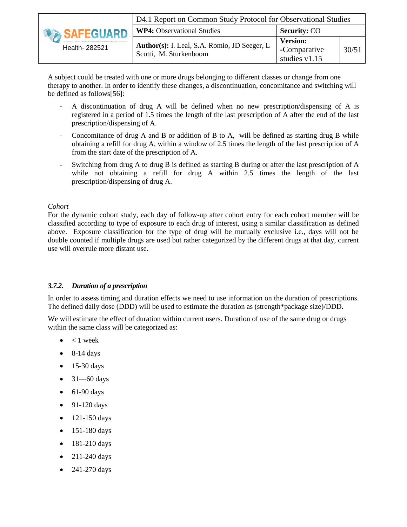|                | D4.1 Report on Common Study Protocol for Observational Studies         |                                                  |       |  |  |  |  |  |  |
|----------------|------------------------------------------------------------------------|--------------------------------------------------|-------|--|--|--|--|--|--|
| SAFEGUARD      | <b>WP4:</b> Observational Studies                                      | <b>Security: CO</b>                              |       |  |  |  |  |  |  |
| Health- 282521 | Author(s): I. Leal, S.A. Romio, JD Seeger, L<br>Scotti, M. Sturkenboom | <b>Version:</b><br>-Comparative<br>studies v1.15 | 30/51 |  |  |  |  |  |  |

A subject could be treated with one or more drugs belonging to different classes or change from one therapy to another. In order to identify these changes, a discontinuation, concomitance and switching will be defined as follows[\[56\]](#page-49-7):

- A discontinuation of drug A will be defined when no new prescription/dispensing of A is registered in a period of 1.5 times the length of the last prescription of A after the end of the last prescription/dispensing of A.
- Concomitance of drug A and B or addition of B to A, will be defined as starting drug B while obtaining a refill for drug A, within a window of 2.5 times the length of the last prescription of A from the start date of the prescription of A.
- Switching from drug A to drug B is defined as starting B during or after the last prescription of A while not obtaining a refill for drug A within 2.5 times the length of the last prescription/dispensing of drug A.

#### *Cohort*

For the dynamic cohort study, each day of follow-up after cohort entry for each cohort member will be classified according to type of exposure to each drug of interest, using a similar classification as defined above. Exposure classification for the type of drug will be mutually exclusive i.e., days will not be double counted if multiple drugs are used but rather categorized by the different drugs at that day, current use will overrule more distant use.

#### *3.7.2. Duration of a prescription*

In order to assess timing and duration effects we need to use information on the duration of prescriptions. The defined daily dose (DDD) will be used to estimate the duration as (strength\*package size)/DDD.

<span id="page-29-0"></span>We will estimate the effect of duration within current users. Duration of use of the same drug or drugs within the same class will be categorized as:

- $< 1$  week
- 8-14 days
- $\bullet$  15-30 days
- $\bullet$  31—60 days
- $\bullet$  61-90 days
- 91-120 days
- $\bullet$  121-150 days
- 151-180 days
- $\bullet$  181-210 days
- $\bullet$  211-240 days
- 241-270 days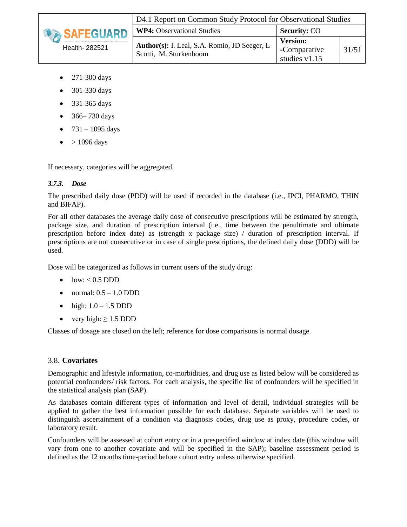

- 271-300 days
- 301-330 days
- 331-365 days
- $\bullet$  366–730 days
- $731 1095 \text{ days}$
- > 1096 days

If necessary, categories will be aggregated.

#### *3.7.3. Dose*

The prescribed daily dose (PDD) will be used if recorded in the database (i.e., IPCI, PHARMO, THIN and BIFAP).

<span id="page-30-0"></span>For all other databases the average daily dose of consecutive prescriptions will be estimated by strength, package size, and duration of prescription interval (i.e., time between the penultimate and ultimate prescription before index date) as (strength x package size) / duration of prescription interval. If prescriptions are not consecutive or in case of single prescriptions, the defined daily dose (DDD) will be used.

Dose will be categorized as follows in current users of the study drug:

- $\bullet$  low: < 0.5 DDD
- $\bullet$  normal:  $0.5 1.0$  DDD
- high:  $1.0 1.5$  DDD
- very high:  $\geq 1.5$  DDD

Classes of dosage are closed on the left; reference for dose comparisons is normal dosage.

#### 3.8. **Covariates**

<span id="page-30-1"></span>Demographic and lifestyle information, co-morbidities, and drug use as listed below will be considered as potential confounders/ risk factors. For each analysis, the specific list of confounders will be specified in the statistical analysis plan (SAP).

As databases contain different types of information and level of detail, individual strategies will be applied to gather the best information possible for each database. Separate variables will be used to distinguish ascertainment of a condition via diagnosis codes, drug use as proxy, procedure codes, or laboratory result.

Confounders will be assessed at cohort entry or in a prespecified window at index date (this window will vary from one to another covariate and will be specified in the SAP); baseline assessment period is defined as the 12 months time-period before cohort entry unless otherwise specified.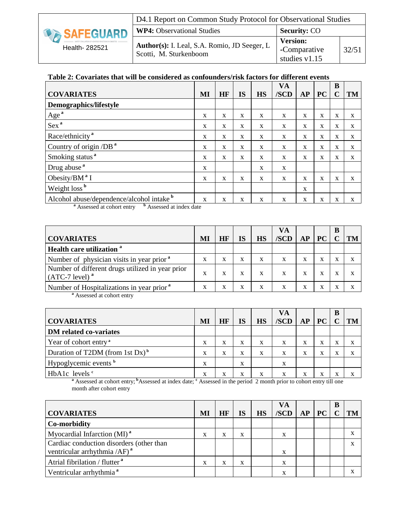|                | D4.1 Report on Common Study Protocol for Observational Studies         |                                                    |       |  |  |  |  |  |
|----------------|------------------------------------------------------------------------|----------------------------------------------------|-------|--|--|--|--|--|
| SAFEGUARD      | <b>WP4:</b> Observational Studies                                      | <b>Security: CO</b>                                |       |  |  |  |  |  |
| Health- 282521 | Author(s): I. Leal, S.A. Romio, JD Seeger, L<br>Scotti, M. Sturkenboom | <b>Version:</b><br>-Comparative<br>studies $v1.15$ | 32/51 |  |  |  |  |  |

## **Table 2: Covariates that will be considered as confounders/risk factors for different events**

|                                           |    |             |              |              | VA   |    |              | B           |           |
|-------------------------------------------|----|-------------|--------------|--------------|------|----|--------------|-------------|-----------|
| <b>COVARIATES</b>                         | MI | HF          | <b>IS</b>    | <b>HS</b>    | /SCD | AP | <b>PC</b>    | C           | <b>TM</b> |
| Demographics/lifestyle                    |    |             |              |              |      |    |              |             |           |
| Age <sup>a</sup>                          | X  | $\mathbf x$ | $\mathbf{x}$ | X            | X    | X  | X            | $\mathbf x$ | X         |
| Sex <sup>a</sup>                          | X  | X           | X            | X            | X    | X  | X            | X           | X         |
| Race/ethnicity <sup>a</sup>               | X  | X           | $\mathbf x$  | $\mathbf{x}$ | X    | X  | $\mathbf{x}$ | $\mathbf x$ | X         |
| Country of origin /DB <sup>a</sup>        | X  | X           | X            | X            | X    | X  | X            | X           | X         |
| Smoking status <sup>a</sup>               | X  | X           | X            | X            | X    | X  | X            | X           | X         |
| Drug abuse <sup>a</sup>                   | X  |             |              | $\mathbf{x}$ | X    |    |              |             |           |
| Obesity/BM <sup>a</sup> I                 | X  | X           | X            | X            | X    | X  | X            | X           | X         |
| Weight loss <sup>b</sup>                  |    |             |              |              |      | X  |              |             |           |
| Alcohol abuse/dependence/alcohol intake b | X  | X           | X            | X            | X    | X  | X            | X           | X         |

**<sup>a</sup>** Assessed at cohort entry **<sup>b</sup>** Assessed at index date

|                                                                         |    |    |           |           | VА   |    |    | B |           |
|-------------------------------------------------------------------------|----|----|-----------|-----------|------|----|----|---|-----------|
| <b>COVARIATES</b>                                                       | MI | HF | <b>IS</b> | <b>HS</b> | /SCD | AP | PC |   | <b>TM</b> |
| Health care utilization <sup>a</sup>                                    |    |    |           |           |      |    |    |   |           |
| Number of physician visits in year prior <sup>a</sup>                   | X  | X  | X         | X         | X    | X  | X  |   | X         |
| Number of different drugs utilized in year prior<br>$(ATC-7$ level) $a$ | X  | x  | X         |           |      | x  | x  |   | X         |
| Number of Hospitalizations in year prior <sup>a</sup>                   | x  | x  | X         | X         | X    | x  | x  |   | X         |

**<sup>a</sup>** Assessed at cohort entry

|                                             |    |    |    |           | VA   |    |    | B |           |
|---------------------------------------------|----|----|----|-----------|------|----|----|---|-----------|
| <b>COVARIATES</b>                           | MI | HF | IS | <b>HS</b> | /SCD | AP | PC |   | <b>TM</b> |
| DM related co-variates                      |    |    |    |           |      |    |    |   |           |
| Year of cohort entry <sup>a</sup>           | X  | X  | X  | X         | X    | x  | X  | л | X         |
| Duration of T2DM (from 1st Dx) <sup>b</sup> | X  | X  | X  | x         | X    | x  | x  | л | X         |
| Hypoglycemic events <b>b</b>                | X  |    | X  |           | X    |    |    |   |           |
| HbA1c levels <sup>c</sup>                   | x  | x  | X  |           | x    |    | л  |   | х         |

**<sup>a</sup>** Assessed at cohort entry; **<sup>b</sup>**Assessed at index date; **<sup>c</sup>** Assessed in the period 2 month prior to cohort entry till one month after cohort entry

|                                           |    |    |           |           | VA   |    |           | в |    |
|-------------------------------------------|----|----|-----------|-----------|------|----|-----------|---|----|
| <b>COVARIATES</b>                         | MI | HF | <b>IS</b> | <b>HS</b> | /SCD | AP | <b>PC</b> |   | TM |
| Co-morbidity                              |    |    |           |           |      |    |           |   |    |
| Myocardial Infarction $(MI)^a$            | X  | x  | X         |           | X    |    |           |   |    |
| Cardiac conduction disorders (other than  |    |    |           |           |      |    |           |   |    |
| ventricular arrhythmia /AF) $^{\rm a}$    |    |    |           |           | X    |    |           |   |    |
| Atrial fibrilation / flutter <sup>a</sup> | X  | x  | X         |           | X    |    |           |   |    |
| Ventricular arrhythmia <sup>a</sup>       |    |    |           |           | X    |    |           |   |    |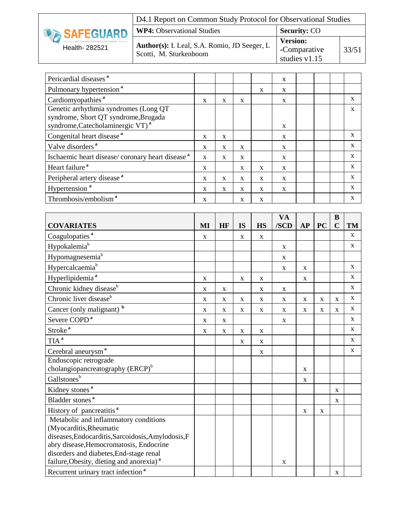|                    | D4.1 Report on Common Study Protocol for Observational Studies         |                                                    |       |  |  |  |  |  |
|--------------------|------------------------------------------------------------------------|----------------------------------------------------|-------|--|--|--|--|--|
| <b>DESAFEGUARD</b> | <b>WP4:</b> Observational Studies                                      | <b>Security: CO</b>                                |       |  |  |  |  |  |
| Health- 282521     | Author(s): I. Leal, S.A. Romio, JD Seeger, L<br>Scotti, M. Sturkenboom | <b>Version:</b><br>-Comparative<br>studies $v1.15$ | 33/51 |  |  |  |  |  |

| Pericardial diseases <sup>a</sup>                                                                                              |   |              |              |              | X            |  |              |
|--------------------------------------------------------------------------------------------------------------------------------|---|--------------|--------------|--------------|--------------|--|--------------|
| Pulmonary hypertension <sup>a</sup>                                                                                            |   |              |              | X            | $\mathbf{x}$ |  |              |
| Cardiomyopathies <sup>a</sup>                                                                                                  | X | $\mathbf{x}$ | X            |              | $\mathbf{x}$ |  | X            |
| Genetic arrhythmia syndromes (Long QT)<br>syndrome, Short QT syndrome, Brugada<br>syndrome, Catecholaminergic VT) <sup>a</sup> |   |              |              |              | $\mathbf{x}$ |  | X            |
| Congenital heart disease <sup>a</sup>                                                                                          | X | $\mathbf{x}$ |              |              | $\mathbf{x}$ |  | X            |
| Valve disorders <sup>a</sup>                                                                                                   | X | $\mathbf{x}$ | X            |              | $\mathbf{x}$ |  | X            |
| Ischaemic heart disease/coronary heart disease <sup>a</sup>                                                                    | X | $\mathbf{x}$ | X            |              | X            |  | $\mathbf{x}$ |
| Heart failure <sup>a</sup>                                                                                                     | X |              | X            | X            | $\mathbf{x}$ |  | X            |
| Peripheral artery disease <sup>a</sup>                                                                                         | X | $\mathbf{x}$ | $\mathbf{x}$ | $\mathbf{x}$ | $\mathbf{x}$ |  | X            |
| Hypertension <sup>a</sup>                                                                                                      | X | X            | X            | X            | X            |  | $\mathbf{x}$ |
| Thrombosis/embolism <sup>a</sup>                                                                                               | X |              | X            | X            |              |  | X            |

|                                                      |             |             |             |              | <b>VA</b>   |              |             | B           |              |
|------------------------------------------------------|-------------|-------------|-------------|--------------|-------------|--------------|-------------|-------------|--------------|
| <b>COVARIATES</b>                                    | MI          | HF          | <b>IS</b>   | <b>HS</b>    | /SCD        | AP           | <b>PC</b>   | $\mathbf C$ | <b>TM</b>    |
| Coagulopaties <sup>a</sup>                           | $\mathbf X$ |             | $\mathbf X$ | $\mathbf X$  |             |              |             |             | $\mathbf{X}$ |
| Hypokalemia <sup>b</sup>                             |             |             |             |              | $\mathbf X$ |              |             |             | $\mathbf X$  |
| Hypomagnesemia <sup>b</sup>                          |             |             |             |              | X           |              |             |             |              |
| Hypercalcaemiab                                      |             |             |             |              | $\mathbf X$ | $\mathbf{x}$ |             |             | $\mathbf X$  |
| Hyperlipidemia <sup>a</sup>                          | X           |             | $\mathbf X$ | X            |             | $\mathbf X$  |             |             | X            |
| Chronic kidney disease <sup>b</sup>                  | $\mathbf X$ | $\mathbf X$ |             | $\mathbf{X}$ | $\mathbf X$ |              |             |             | X            |
| Chronic liver disease <sup>b</sup>                   | $\mathbf X$ | $\mathbf X$ | $\mathbf X$ | X            | $\mathbf X$ | $\mathbf X$  | $\mathbf X$ | $\mathbf X$ | X            |
| Cancer (only malignant) b                            | $\mathbf X$ | $\mathbf X$ | $\mathbf X$ | $\mathbf X$  | $\mathbf X$ | $\mathbf X$  | $\mathbf X$ | $\mathbf X$ | X            |
| Severe COPD <sup>a</sup>                             | $\mathbf X$ | $\mathbf X$ |             |              | $\mathbf X$ |              |             |             | X            |
| Stroke <sup>a</sup>                                  | $\mathbf X$ | $\mathbf X$ | $\mathbf X$ | $\mathbf X$  |             |              |             |             | $\mathbf{X}$ |
| TIA <sup>a</sup>                                     |             |             | $\mathbf X$ | $\mathbf X$  |             |              |             |             | X            |
| Cerebral aneurysm <sup>a</sup>                       |             |             |             | $\mathbf X$  |             |              |             |             | X            |
| Endoscopic retrograde                                |             |             |             |              |             |              |             |             |              |
| cholangiopancreatography (ERCP) <sup>b</sup>         |             |             |             |              |             | $\mathbf X$  |             |             |              |
| Gallstonesb                                          |             |             |             |              |             | $\mathbf X$  |             |             |              |
| Kidney stones <sup>a</sup>                           |             |             |             |              |             |              |             | X           |              |
| Bladder stones <sup>a</sup>                          |             |             |             |              |             |              |             | X           |              |
| History of pancreatitis <sup>a</sup>                 |             |             |             |              |             | X            | X           |             |              |
| Metabolic and inflammatory conditions                |             |             |             |              |             |              |             |             |              |
| (Myocarditis, Rheumatic                              |             |             |             |              |             |              |             |             |              |
| diseases, Endocarditis, Sarcoidosis, Amylodosis, F   |             |             |             |              |             |              |             |             |              |
| abry disease, Hemocromatosis, Endocrine              |             |             |             |              |             |              |             |             |              |
| disorders and diabetes, End-stage renal              |             |             |             |              |             |              |             |             |              |
| failure, Obesity, dieting and anorexia) <sup>a</sup> |             |             |             |              | X           |              |             |             |              |
| Recurrent urinary tract infection <sup>a</sup>       |             |             |             |              |             |              |             | $\mathbf X$ |              |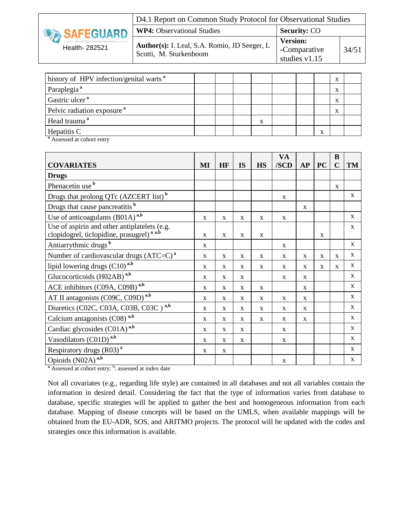|                     | D4.1 Report on Common Study Protocol for Observational Studies         |                                                    |       |  |
|---------------------|------------------------------------------------------------------------|----------------------------------------------------|-------|--|
| <b>DA SAFEGUARD</b> | <b>WP4:</b> Observational Studies                                      | <b>Security: CO</b>                                |       |  |
| Health- 282521      | Author(s): I. Leal, S.A. Romio, JD Seeger, L<br>Scotti, M. Sturkenboom | <b>Version:</b><br>-Comparative<br>studies $v1.15$ | 34/51 |  |

| history of HPV infection/genital warts <sup>a</sup> |  |   |  |   |   |  |
|-----------------------------------------------------|--|---|--|---|---|--|
| Paraplegia <sup>a</sup>                             |  |   |  |   | л |  |
| Gastric ulcer <sup>a</sup>                          |  |   |  |   |   |  |
| Pelvic radiation exposure <sup>a</sup>              |  |   |  |   | л |  |
| Head trauma <sup>a</sup>                            |  | x |  |   |   |  |
| Hepatitis C                                         |  |   |  | л |   |  |

**<sup>a</sup>** Assessed at cohort entry

|                                                                                                       |              |              |              |              | <b>VA</b>    |              |              | B            |              |
|-------------------------------------------------------------------------------------------------------|--------------|--------------|--------------|--------------|--------------|--------------|--------------|--------------|--------------|
| <b>COVARIATES</b>                                                                                     | MI           | HF           | <b>IS</b>    | <b>HS</b>    | /SCD         | AP           | <b>PC</b>    | $\mathbf C$  | TM           |
| <b>Drugs</b>                                                                                          |              |              |              |              |              |              |              |              |              |
| Phenacetin use <sup>b</sup>                                                                           |              |              |              |              |              |              |              | $\mathbf{x}$ |              |
| Drugs that prolong QTc (AZCERT list) <sup>b</sup>                                                     |              |              |              |              | X            |              |              |              | $\mathbf{x}$ |
| Drugs that cause pancreatitis <b>b</b>                                                                |              |              |              |              |              | $\mathbf{x}$ |              |              |              |
| Use of anticoagulants $(B01A)$ <sup>a,b</sup>                                                         | $\mathbf X$  | $\mathbf X$  | X            | $\mathbf{X}$ | $\mathbf X$  |              |              |              | $\mathbf{X}$ |
| Use of aspirin and other antiplatelets (e.g.<br>clopidogrel, ticlopidine, prasugrel) <sup>a a,b</sup> | $\mathbf{x}$ | $\mathbf{x}$ | $\mathbf{X}$ | $\mathbf{x}$ |              |              | $\mathbf{x}$ |              | $\mathbf X$  |
| Antiarrythmic drugs <sup>b</sup>                                                                      | X            |              |              |              | X            |              |              |              | X            |
| Number of cardiovascular drugs $(ATC=C)^a$                                                            | $\mathbf X$  | $\mathbf{x}$ | $\mathbf{x}$ | $\mathbf{x}$ | $\mathbf{x}$ | $\mathbf{x}$ | $\mathbf{x}$ | $\mathbf{x}$ | X            |
| lipid lowering drugs (C10) <sup>a,b</sup>                                                             | $\mathbf{X}$ | X            | X            | $\mathbf{X}$ | $\mathbf X$  | X            | X            | $\mathbf{x}$ | X            |
| Glucocorticoids (H02AB) <sup>a,b</sup>                                                                | X            | $\mathbf{x}$ | $\mathbf{x}$ |              | X            | $\mathbf x$  |              |              | $\mathbf X$  |
| ACE inhibitors (C09A, C09B) <sup>a,b</sup>                                                            | X            | $\mathbf{x}$ | X            | $\mathbf{x}$ |              | $\mathbf{x}$ |              |              | X            |
| AT II antagonists (C09C, C09D) <sup>a,b</sup>                                                         | X            | X            | X            | $\mathbf X$  | X            | X            |              |              | $\mathbf{x}$ |
| Diuretics (C02C, C03A, C03B, C03C) <sup>a,b</sup>                                                     | X            | $\mathbf{x}$ | $\mathbf{x}$ | $\mathbf{X}$ | X            | $\mathbf{x}$ |              |              | $\mathbf{x}$ |
| Calcium antagonists (C08) <sup>a,b</sup>                                                              | $\mathbf X$  | $\mathbf X$  | $\mathbf X$  | $\mathbf X$  | X            | $\mathbf X$  |              |              | X            |
| Cardiac glycosides (C01A) <sup>a,b</sup>                                                              | X            | X            | X            |              | $\mathbf X$  |              |              |              | $\mathbf{X}$ |
| Vasodilators (C01D) <sup>a,b</sup>                                                                    | X            | $\mathbf{x}$ | X            |              | $\mathbf X$  |              |              |              | $\mathbf X$  |
| Respiratory drugs (R03) <sup>a</sup>                                                                  | X            | X            |              |              |              |              |              |              | X            |
| Opioids (N02A) <sup>a,b</sup>                                                                         |              |              |              |              | $\mathbf X$  |              |              |              | X            |

<sup>a</sup> Assessed at cohort entry; <sup>b</sup>: assessed at index date

Not all covariates (e.g., regarding life style) are contained in all databases and not all variables contain the information in desired detail. Considering the fact that the type of information varies from database to database, specific strategies will be applied to gather the best and homogeneous information from each database. Mapping of disease concepts will be based on the UMLS, when available mappings will be obtained from the EU-ADR, SOS, and ARITMO projects. The protocol will be updated with the codes and strategies once this information is available.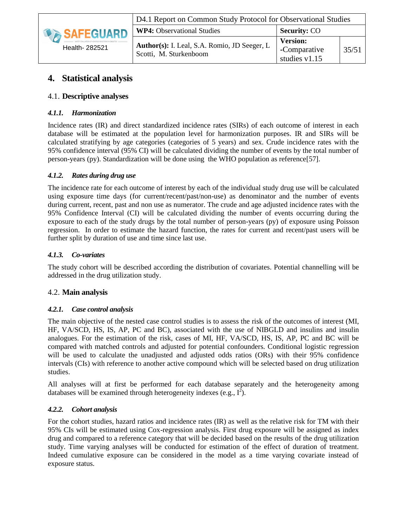|                    | D4.1 Report on Common Study Protocol for Observational Studies         |                                                  |       |  |
|--------------------|------------------------------------------------------------------------|--------------------------------------------------|-------|--|
| <b>DESAFEGUARD</b> | <b>WP4:</b> Observational Studies                                      | <b>Security: CO</b>                              |       |  |
| Health- 282521     | Author(s): I. Leal, S.A. Romio, JD Seeger, L<br>Scotti, M. Sturkenboom | <b>Version:</b><br>-Comparative<br>studies v1.15 | 35/51 |  |

# **4. Statistical analysis**

## 4.1. **Descriptive analyses**

### <span id="page-34-0"></span>*4.1.1. Harmonization*

<span id="page-34-2"></span><span id="page-34-1"></span>Incidence rates (IR) and direct standardized incidence rates (SIRs) of each outcome of interest in each database will be estimated at the population level for harmonization purposes. IR and SIRs will be calculated stratifying by age categories (categories of 5 years) and sex. Crude incidence rates with the 95% confidence interval (95% CI) will be calculated dividing the number of events by the total number of person-years (py). Standardization will be done using the WHO population as reference[\[57\]](#page-49-8).

#### *4.1.2. Rates during drug use*

<span id="page-34-3"></span>The incidence rate for each outcome of interest by each of the individual study drug use will be calculated using exposure time days (for current/recent/past/non-use) as denominator and the number of events during current, recent, past and non use as numerator. The crude and age adjusted incidence rates with the 95% Confidence Interval (CI) will be calculated dividing the number of events occurring during the exposure to each of the study drugs by the total number of person-years (py) of exposure using Poisson regression. In order to estimate the hazard function, the rates for current and recent/past users will be further split by duration of use and time since last use.

#### *4.1.3. Co-variates*

The study cohort will be described according the distribution of covariates. Potential channelling will be addressed in the drug utilization study.

# <span id="page-34-4"></span>4.2. **Main analysis**

#### *4.2.1. Case control analysis*

<span id="page-34-6"></span><span id="page-34-5"></span>The main objective of the nested case control studies is to assess the risk of the outcomes of interest (MI, HF, VA/SCD, HS, IS, AP, PC and BC), associated with the use of NIBGLD and insulins and insulin analogues. For the estimation of the risk, cases of MI, HF, VA/SCD, HS, IS, AP, PC and BC will be compared with matched controls and adjusted for potential confounders. Conditional logistic regression will be used to calculate the unadjusted and adjusted odds ratios (ORs) with their 95% confidence intervals (CIs) with reference to another active compound which will be selected based on drug utilization studies.

All analyses will at first be performed for each database separately and the heterogeneity among databases will be examined through heterogeneity indexes (e.g.,  $I^2$ ).

#### *4.2.2. Cohort analysis*

<span id="page-34-7"></span>For the cohort studies, hazard ratios and incidence rates (IR) as well as the relative risk for TM with their 95% CIs will be estimated using Cox-regression analysis. First drug exposure will be assigned as index drug and compared to a reference category that will be decided based on the results of the drug utilization study. Time varying analyses will be conducted for estimation of the effect of duration of treatment. Indeed cumulative exposure can be considered in the model as a time varying covariate instead of exposure status.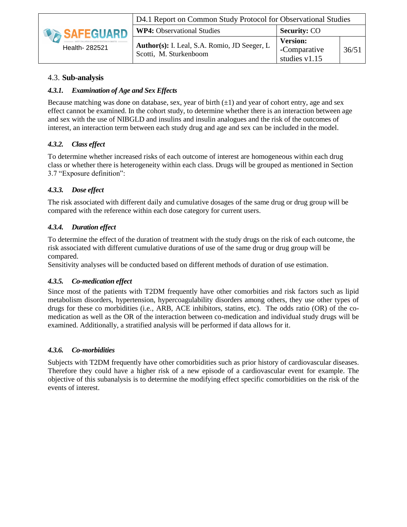

# 4.3. **Sub-analysis**

## *4.3.1. Examination of Age and Sex Effects*

<span id="page-35-1"></span><span id="page-35-0"></span>Because matching was done on database, sex, year of birth  $(\pm 1)$  and year of cohort entry, age and sex effect cannot be examined. In the cohort study, to determine whether there is an interaction between age and sex with the use of NIBGLD and insulins and insulin analogues and the risk of the outcomes of interest, an interaction term between each study drug and age and sex can be included in the model.

#### *4.3.2. Class effect*

<span id="page-35-2"></span>To determine whether increased risks of each outcome of interest are homogeneous within each drug class or whether there is heterogeneity within each class. Drugs will be grouped as mentioned in Section 3.7 "Exposure definition":

## *4.3.3. Dose effect*

<span id="page-35-3"></span>The risk associated with different daily and cumulative dosages of the same drug or drug group will be compared with the reference within each dose category for current users.

#### *4.3.4. Duration effect*

<span id="page-35-4"></span>To determine the effect of the duration of treatment with the study drugs on the risk of each outcome, the risk associated with different cumulative durations of use of the same drug or drug group will be compared.

Sensitivity analyses will be conducted based on different methods of duration of use estimation.

#### *4.3.5. Co-medication effect*

<span id="page-35-5"></span>Since most of the patients with T2DM frequently have other comorbities and risk factors such as lipid metabolism disorders, hypertension, hypercoagulability disorders among others, they use other types of drugs for these co morbidities (i.e., ARB, ACE inhibitors, statins, etc). The odds ratio (OR) of the comedication as well as the OR of the interaction between co-medication and individual study drugs will be examined. Additionally, a stratified analysis will be performed if data allows for it.

#### *4.3.6. Co-morbidities*

<span id="page-35-6"></span>Subjects with T2DM frequently have other comorbidities such as prior history of cardiovascular diseases. Therefore they could have a higher risk of a new episode of a cardiovascular event for example. The objective of this subanalysis is to determine the modifying effect specific comorbidities on the risk of the events of interest.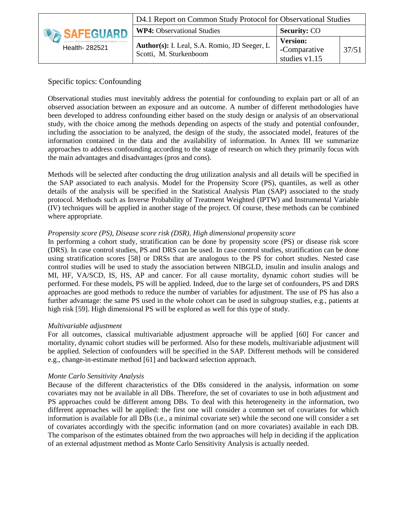|                  | D4.1 Report on Common Study Protocol for Observational Studies         |                                                    |       |  |  |
|------------------|------------------------------------------------------------------------|----------------------------------------------------|-------|--|--|
| <b>SAFEGUARD</b> | <b>WP4:</b> Observational Studies                                      | <b>Security: CO</b>                                |       |  |  |
| Health- 282521   | Author(s): I. Leal, S.A. Romio, JD Seeger, L<br>Scotti, M. Sturkenboom | <b>Version:</b><br>-Comparative<br>studies $v1.15$ | 37/51 |  |  |

# Specific topics: Confounding

Observational studies must inevitably address the potential for confounding to explain part or all of an observed association between an exposure and an outcome. A number of different methodologies have been developed to address confounding either based on the study design or analysis of an observational study, with the choice among the methods depending on aspects of the study and potential confounder, including the association to be analyzed, the design of the study, the associated model, features of the information contained in the data and the availability of information. In Annex III we summarize approaches to address confounding according to the stage of research on which they primarily focus with the main advantages and disadvantages (pros and cons).

Methods will be selected after conducting the drug utilization analysis and all details will be specified in the SAP associated to each analysis. Model for the Propensity Score (PS), quantiles, as well as other details of the analysis will be specified in the Statistical Analysis Plan (SAP) associated to the study protocol. Methods such as Inverse Probability of Treatment Weighted (IPTW) and Instrumental Variable (IV) techniques will be applied in another stage of the project. Of course, these methods can be combined where appropriate.

#### *Propensity score (PS), Disease score risk (DSR), High dimensional propensity score*

In performing a cohort study, stratification can be done by propensity score (PS) or disease risk score (DRS). In case control studies, PS and DRS can be used. In case control studies, stratification can be done using stratification scores [\[58\]](#page-49-9) or DRSs that are analogous to the PS for cohort studies. Nested case control studies will be used to study the association between NIBGLD, insulin and insulin analogs and MI, HF, VA/SCD, IS, HS, AP and cancer. For all cause mortality, dynamic cohort studies will be performed. For these models, PS will be applied. Indeed, due to the large set of confounders, PS and DRS approaches are good methods to reduce the number of variables for adjustment. The use of PS has also a further advantage: the same PS used in the whole cohort can be used in subgroup studies, e.g., patients at high risk [\[59\]](#page-49-10). High dimensional PS will be explored as well for this type of study.

#### *Multivariable adjustment*

For all outcomes, classical multivariable adjustment approache will be applied [\[60\]](#page-49-11) For cancer and mortality, dynamic cohort studies will be performed. Also for these models, multivariable adjustment will be applied. Selection of confounders will be specified in the SAP. Different methods will be considered e.g., change-in-estimate method [\[61\]](#page-49-12) and backward selection approach.

#### *Monte Carlo Sensitivity Analysis*

Because of the different characteristics of the DBs considered in the analysis, information on some covariates may not be available in all DBs. Therefore, the set of covariates to use in both adjustment and PS approaches could be different among DBs. To deal with this heterogeneity in the information, two different approaches will be applied: the first one will consider a common set of covariates for which information is available for all DBs (i.e., a minimal covariate set) while the second one will consider a set of covariates accordingly with the specific information (and on more covariates) available in each DB. The comparison of the estimates obtained from the two approaches will help in deciding if the application of an external adjustment method as Monte Carlo Sensitivity Analysis is actually needed.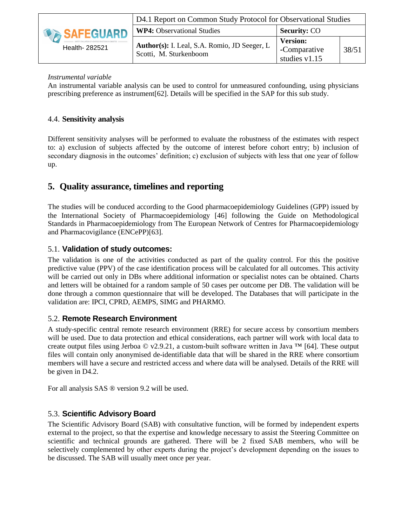|                    | D4.1 Report on Common Study Protocol for Observational Studies         |                                                  |       |  |  |
|--------------------|------------------------------------------------------------------------|--------------------------------------------------|-------|--|--|
| <b>DESAFEGUARD</b> | <b>WP4:</b> Observational Studies                                      | <b>Security: CO</b>                              |       |  |  |
| Health- 282521     | Author(s): I. Leal, S.A. Romio, JD Seeger, L<br>Scotti, M. Sturkenboom | <b>Version:</b><br>-Comparative<br>studies v1.15 | 38/51 |  |  |

#### *Instrumental variable*

An instrumental variable analysis can be used to control for unmeasured confounding, using physicians prescribing preference as instrument[\[62\]](#page-49-13). Details will be specified in the SAP for this sub study.

## 4.4. **Sensitivity analysis**

<span id="page-37-0"></span>Different sensitivity analyses will be performed to evaluate the robustness of the estimates with respect to: a) exclusion of subjects affected by the outcome of interest before cohort entry; b) inclusion of secondary diagnosis in the outcomes' definition; c) exclusion of subjects with less that one year of follow up.

# **5. Quality assurance, timelines and reporting**

<span id="page-37-1"></span>The studies will be conduced according to the Good pharmacoepidemiology Guidelines (GPP) issued by the International Society of Pharmacoepidemiology [\[46\]](#page-48-14) following the Guide on Methodological Standards in Pharmacoepidemiology from The European Network of Centres for Pharmacoepidemiology and Pharmacovigilance (ENCePP)[\[63\]](#page-49-14).

# 5.1. **Validation of study outcomes:**

<span id="page-37-2"></span>The validation is one of the activities conducted as part of the quality control. For this the positive predictive value (PPV) of the case identification process will be calculated for all outcomes. This activity will be carried out only in DBs where additional information or specialist notes can be obtained. Charts and letters will be obtained for a random sample of 50 cases per outcome per DB. The validation will be done through a common questionnaire that will be developed. The Databases that will participate in the validation are: IPCI, CPRD, AEMPS, SIMG and PHARMO.

# 5.2. **Remote Research Environment**

<span id="page-37-3"></span>A study-specific central remote research environment (RRE) for secure access by consortium members will be used. Due to data protection and ethical considerations, each partner will work with local data to create output files using Jerboa © v2.9.21, a custom-built software written in Java ™ [\[64\]](#page-50-0). These output files will contain only anonymised de-identifiable data that will be shared in the RRE where consortium members will have a secure and restricted access and where data will be analysed. Details of the RRE will be given in D4.2.

For all analysis SAS ® version 9.2 will be used.

# 5.3. **Scientific Advisory Board**

<span id="page-37-4"></span>The Scientific Advisory Board (SAB) with consultative function, will be formed by independent experts external to the project, so that the expertise and knowledge necessary to assist the Steering Committee on scientific and technical grounds are gathered. There will be 2 fixed SAB members, who will be selectively complemented by other experts during the project's development depending on the issues to be discussed. The SAB will usually meet once per year.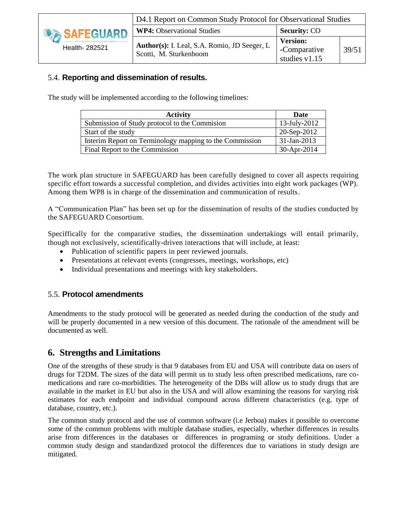

# 5.4. **Reporting and dissemination of results.**

<span id="page-38-0"></span>The study will be implemented according to the following timelines:

| <b>Activity</b>                                         | Date            |
|---------------------------------------------------------|-----------------|
| Submission of Study protocol to the Commission          | $13$ -July-2012 |
| Start of the study                                      | 20-Sep-2012     |
| Interim Report on Terminology mapping to the Commission | $31$ -Jan-2013  |
| Final Report to the Commission                          | 30-Apr-2014     |

The work plan structure in SAFEGUARD has been carefully designed to cover all aspects requiring specific effort towards a successful completion, and divides activities into eight work packages (WP). Among them WP8 is in charge of the dissemination and communication of results.

A "Communication Plan" has been set up for the dissemination of results of the studies conducted by the SAFEGUARD Consortium.

Speciffically for the comparative studies, the dissemination undertakings will entail primarily, though not exclusively, scientifically-driven interactions that will include, at least:

- Publication of scientific papers in peer reviewed journals.
- Presentations at relevant events (congresses, meetings, workshops, etc)
- Individual presentations and meetings with key stakeholders.

#### 5.5. **Protocol amendments**

<span id="page-38-1"></span>Amendments to the study protocol will be generated as needed during the conduction of the study and will be properly documented in a new version of this document. The rationale of the amendment will be documented as well.

# **6. Strengths and Limitations**

<span id="page-38-2"></span>One of the strengths of these strudy is that 9 databases from EU and USA will contribute data on users of drugs for T2DM. The sizes of the data will permit us to study less often prescribed medications, rare comedications and rare co-morbidities. The heterogeneity of the DBs will allow us to study drugs that are available in the market in EU but also in the USA and will allow examining the reasons for varying risk estimates for each endpoint and individual compound across different characteristics (e.g. type of database, country, etc.).

The common study protocol and the use of common software (i.e Jerboa) makes it possible to overcome some of the common problems with multiple database studies, especially, whether differences in results arise from differences in the databases or differences in programing or study definitions. Under a common study design and standardized protocol the differences due to variations in study design are mitigated.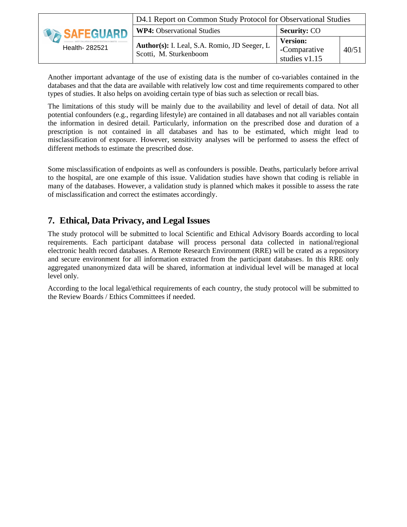|                | D4.1 Report on Common Study Protocol for Observational Studies         |                                                  |       |  |  |
|----------------|------------------------------------------------------------------------|--------------------------------------------------|-------|--|--|
| SAFEGUARD      | <b>WP4: Observational Studies</b>                                      | <b>Security: CO</b>                              |       |  |  |
| Health- 282521 | Author(s): I. Leal, S.A. Romio, JD Seeger, L<br>Scotti, M. Sturkenboom | <b>Version:</b><br>-Comparative<br>studies v1.15 | 40/51 |  |  |

Another important advantage of the use of existing data is the number of co-variables contained in the databases and that the data are available with relatively low cost and time requirements compared to other types of studies. It also helps on avoiding certain type of bias such as selection or recall bias.

The limitations of this study will be mainly due to the availability and level of detail of data. Not all potential confounders (e.g., regarding lifestyle) are contained in all databases and not all variables contain the information in desired detail. Particularly, information on the prescribed dose and duration of a prescription is not contained in all databases and has to be estimated, which might lead to misclassification of exposure. However, sensitivity analyses will be performed to assess the effect of different methods to estimate the prescribed dose.

Some misclassification of endpoints as well as confounders is possible. Deaths, particularly before arrival to the hospital, are one example of this issue. Validation studies have shown that coding is reliable in many of the databases. However, a validation study is planned which makes it possible to assess the rate of misclassification and correct the estimates accordingly.

# **7. Ethical, Data Privacy, and Legal Issues**

<span id="page-39-0"></span>The study protocol will be submitted to local Scientific and Ethical Advisory Boards according to local requirements. Each participant database will process personal data collected in national/regional electronic health record databases. A Remote Research Environment (RRE) will be crated as a repository and secure environment for all information extracted from the participant databases. In this RRE only aggregated unanonymized data will be shared, information at individual level will be managed at local level only.

According to the local legal/ethical requirements of each country, the study protocol will be submitted to the Review Boards / Ethics Committees if needed.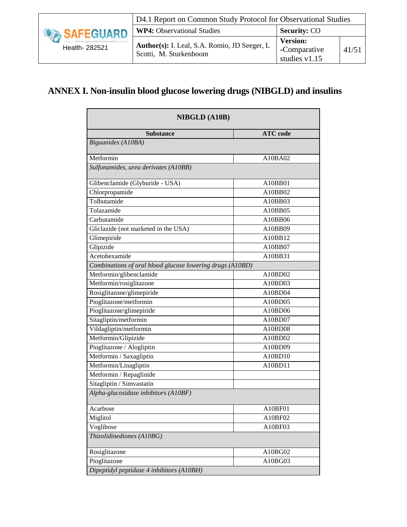|                | D4.1 Report on Common Study Protocol for Observational Studies         |                                                  |       |  |  |
|----------------|------------------------------------------------------------------------|--------------------------------------------------|-------|--|--|
| SAFEGUARD      | <b>WP4:</b> Observational Studies                                      | <b>Security: CO</b>                              |       |  |  |
| Health- 282521 | Author(s): I. Leal, S.A. Romio, JD Seeger, L<br>Scotti, M. Sturkenboom | <b>Version:</b><br>-Comparative<br>studies v1.15 | 41/51 |  |  |

# <span id="page-40-0"></span>**ANNEX I. Non-insulin blood glucose lowering drugs (NIBGLD) and insulins**

| <b>NIBGLD (A10B)</b>                                      |                 |
|-----------------------------------------------------------|-----------------|
| <b>Substance</b>                                          | <b>ATC</b> code |
| Biguanides (A10BA)                                        |                 |
| Metformin                                                 | A10BA02         |
| Sulfonamides, urea derivates (A10BB)                      |                 |
| Glibenclamide (Glyburide - USA)                           | A10BB01         |
| Chlorpropamide                                            | A10BB02         |
| Tolbutamide                                               | A10BB03         |
| Tolazamide                                                | A10BB05         |
| Carbutamide                                               | A10BB06         |
| Gliclazide (not marketed in the USA)                      | A10BB09         |
| Glimepiride                                               | A10BB12         |
| Glipizide                                                 | A10BB07         |
| Acetohexamide                                             | A10BB31         |
| Combinations of oral blood glucose lowering drugs (A10BD) |                 |
| Metformin/glibenclamide                                   | A10BD02         |
| Metformin/rosiglitazone                                   | A10BD03         |
| Rosiglitazone/glimepiride                                 | A10BD04         |
| Pioglitazone/metformin                                    | A10BD05         |
| Pioglitazone/glimepiride                                  | A10BD06         |
| Sitagliptin/metformin                                     | A10BD07         |
| Vildagliptin/metformin                                    | A10BD08         |
| Metformin/Glipizide                                       | A10BD02         |
| Pioglitazone / Alogliptin                                 | A10BD09         |
| Metformin / Saxagliptin                                   | A10BD10         |
| Metformin/Linagliptin                                     | A10BD11         |
| Metformin / Repaglinide                                   |                 |
| Sitagliptin / Simvastatin                                 |                 |
| Alpha-glucosidase inhibitors (A10BF)                      |                 |
| Acarbose                                                  | A10BF01         |
| Miglitol                                                  | A10BF02         |
| Voglibose                                                 | A10BF03         |
| Thizolidinediones (A10BG)                                 |                 |
| Rosiglitazone                                             | A10BG02         |
| Pioglitazone                                              | A10BG03         |
| Dipeptidyl peptidase 4 inhibitors (A10BH)                 |                 |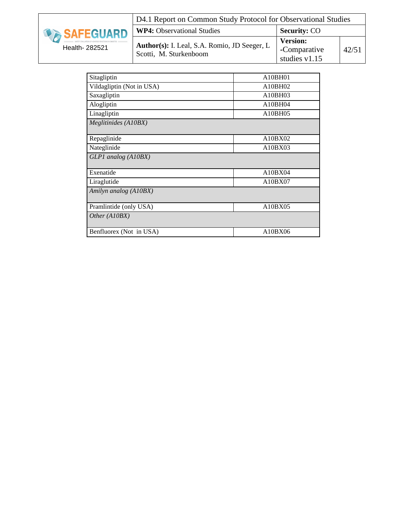|                  | D4.1 Report on Common Study Protocol for Observational Studies                |                                                    |       |  |
|------------------|-------------------------------------------------------------------------------|----------------------------------------------------|-------|--|
| <b>SAFEGUARD</b> | <b>WP4:</b> Observational Studies                                             | <b>Security: CO</b>                                |       |  |
| Health- 282521   | <b>Author(s):</b> I. Leal, S.A. Romio, JD Seeger, L<br>Scotti, M. Sturkenboom | <b>Version:</b><br>-Comparative<br>studies $v1.15$ | 42/51 |  |

| A10BH01 |
|---------|
| A10BH02 |
| A10BH03 |
| A10BH04 |
| A10BH05 |
|         |
|         |
| A10BX02 |
| A10BX03 |
|         |
|         |
| A10BX04 |
| A10BX07 |
|         |
|         |
| A10BX05 |
|         |
|         |
| A10BX06 |
|         |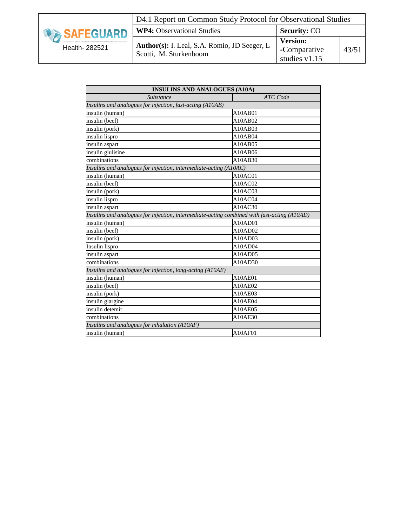|                  | D4.1 Report on Common Study Protocol for Observational Studies         |                                                    |       |
|------------------|------------------------------------------------------------------------|----------------------------------------------------|-------|
| <b>SAFEGUARD</b> | <b>WP4:</b> Observational Studies                                      | <b>Security: CO</b>                                |       |
| Health- 282521   | Author(s): I. Leal, S.A. Romio, JD Seeger, L<br>Scotti, M. Sturkenboom | <b>Version:</b><br>-Comparative<br>studies $v1.15$ | 43/51 |

|                                                                                             | <b>INSULINS AND ANALOGUES (A10A)</b> |
|---------------------------------------------------------------------------------------------|--------------------------------------|
| <b>Substance</b>                                                                            | <b>ATC</b> Code                      |
| Insulins and analogues for injection, fast-acting (A10AB)                                   |                                      |
| insulin (human)                                                                             | A10AB01                              |
| insulin (beef)                                                                              | A10AB02                              |
| insulin (pork)                                                                              | A10AB03                              |
| insulin lispro                                                                              | A10AB04                              |
| insulin aspart                                                                              | A10AB05                              |
| insulin glulisine                                                                           | A10AB06                              |
| combinations                                                                                | A10AB30                              |
| Insulins and analogues for injection, intermediate-acting (A10AC)                           |                                      |
| insulin (human)                                                                             | A10ACO1                              |
| insulin (beef)                                                                              | A10AC02                              |
| insulin (pork)                                                                              | A10AC03                              |
| insulin lispro                                                                              | A10ACO4                              |
| insulin aspart                                                                              | A10AC30                              |
| Insulins and analogues for injection, intermediate-acting combined with fast-acting (A10AD) |                                      |
| insulin (human)                                                                             | A10AD01                              |
| insulin (beef)                                                                              | A10AD02                              |
| insulin (pork)                                                                              | A10AD03                              |
| Insulin lispro                                                                              | A10AD04                              |
| insulin aspart                                                                              | A10AD05                              |
| combinations                                                                                | A10AD30                              |
| Insulins and analogues for injection, long-acting (A10AE)                                   |                                      |
| insulin (human)                                                                             | A10AE01                              |
| insulin (beef)                                                                              | A10AE02                              |
| insulin (pork)                                                                              | A10AE03                              |
| insulin glargine                                                                            | A10AE04                              |
| insulin detemir                                                                             | A10AE05                              |
| combinations                                                                                | A10AE30                              |
| Insulins and analogues for inhalation (A10AF)                                               |                                      |
| insulin (human)                                                                             | A10AF01                              |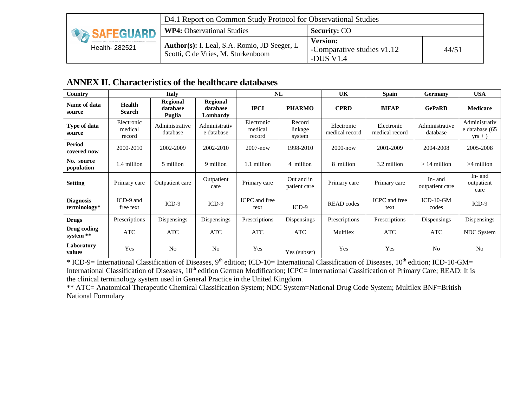| <b>DA SAFEGUARD</b> | D4.1 Report on Common Study Protocol for Observational Studies                     |                                                            |       |
|---------------------|------------------------------------------------------------------------------------|------------------------------------------------------------|-------|
|                     | <b>WP4:</b> Observational Studies                                                  | <b>Security: CO</b>                                        |       |
| Health- 282521      | Author(s): I. Leal, S.A. Romio, JD Seeger, L<br>Scotti, C de Vries, M. Sturkenboom | <b>Version:</b><br>-Comparative studies v1.12<br>-DUS V1.4 | 44/51 |

# **ANNEX II. Characteristics of the healthcare databases**

| Country                          |                                 | <b>Italy</b>                          |                                         | NL                              |                             | <b>UK</b>                    | <b>Spain</b>                 | <b>Germany</b>             | <b>USA</b>                                   |
|----------------------------------|---------------------------------|---------------------------------------|-----------------------------------------|---------------------------------|-----------------------------|------------------------------|------------------------------|----------------------------|----------------------------------------------|
| Name of data<br>source           | <b>Health</b><br><b>Search</b>  | <b>Regional</b><br>database<br>Puglia | <b>Regional</b><br>database<br>Lombardy | <b>IPCI</b>                     | <b>PHARMO</b>               | <b>CPRD</b>                  | <b>BIFAP</b>                 | <b>GePaRD</b>              | <b>Medicare</b>                              |
| Type of data<br>source           | Electronic<br>medical<br>record | Administrative<br>database            | Administrativ<br>e database             | Electronic<br>medical<br>record | Record<br>linkage<br>system | Electronic<br>medical record | Electronic<br>medical record | Administrative<br>database | Administrativ<br>e database (65<br>$yrs + )$ |
| <b>Period</b><br>covered now     | 2000-2010                       | 2002-2009                             | 2002-2010                               | $2007 - now$                    | 1998-2010                   | $2000 - now$                 | 2001-2009                    | 2004-2008                  | 2005-2008                                    |
| No. source<br>population         | 1.4 million                     | 5 million                             | 9 million                               | 1.1 million                     | 4 million                   | 8 million                    | 3.2 million                  | $>14$ million              | $>4$ million                                 |
| <b>Setting</b>                   | Primary care                    | Outpatient care                       | Outpatient<br>care                      | Primary care                    | Out and in<br>patient care  | Primary care                 | Primary care                 | In- and<br>outpatient care | In- and<br>outpatient<br>care                |
| <b>Diagnosis</b><br>terminology* | ICD-9 and<br>free text          | $ICD-9$                               | $ICD-9$                                 | ICPC and free<br>text           | $ICD-9$                     | <b>READ</b> codes            | ICPC and free<br>text        | $ICD-10-GM$<br>codes       | $ICD-9$                                      |
| <b>Drugs</b>                     | Prescriptions                   | Dispensings                           | Dispensings                             | Prescriptions                   | Dispensings                 | Prescriptions                | Prescriptions                | Dispensings                | Dispensings                                  |
| Drug coding<br>system **         | <b>ATC</b>                      | <b>ATC</b>                            | <b>ATC</b>                              | ATC                             | ATC                         | Multilex                     | <b>ATC</b>                   | ATC .                      | NDC System                                   |
| Laboratory<br>values             | Yes                             | No                                    | N <sub>0</sub>                          | Yes                             | Yes (subset)                | Yes                          | Yes                          | N <sub>0</sub>             | N <sub>0</sub>                               |

<span id="page-43-0"></span>\* ICD-9= International Classification of Diseases, 9<sup>th</sup> edition; ICD-10= International Classification of Diseases, 10<sup>th</sup> edition; ICD-10-GM= International Classification of Diseases, 10<sup>th</sup> edition German Modification; ICPC= International Cassification of Primary Care; READ: It is the clinical terminology system used in General Practice in the United Kingdom.

\*\* ATC= Anatomical Therapeutic Chemical Classification System; NDC System=National Drug Code System; Multilex BNF=British National Formulary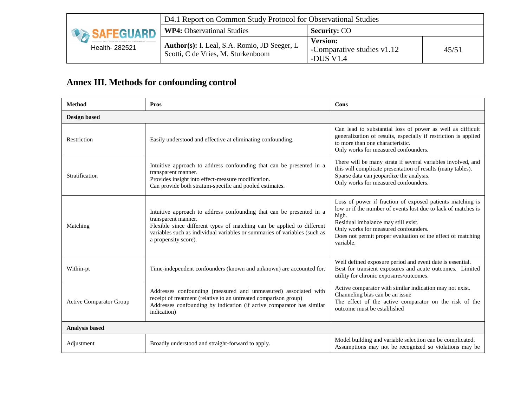| <b>SAFEGUARD</b> | D4.1 Report on Common Study Protocol for Observational Studies                            |                                                            |       |
|------------------|-------------------------------------------------------------------------------------------|------------------------------------------------------------|-------|
|                  | <b>WP4:</b> Observational Studies                                                         | <b>Security: CO</b>                                        |       |
| Health- 282521   | <b>Author(s):</b> I. Leal, S.A. Romio, JD Seeger, L<br>Scotti, C de Vries, M. Sturkenboom | <b>Version:</b><br>-Comparative studies v1.12<br>-DUS V1.4 | 45/51 |

# **Annex III. Methods for confounding control**

<span id="page-44-0"></span>

| <b>Method</b>                  | <b>Pros</b>                                                                                                                                                                                                                                                                | Cons                                                                                                                                                                                                                                                                                           |
|--------------------------------|----------------------------------------------------------------------------------------------------------------------------------------------------------------------------------------------------------------------------------------------------------------------------|------------------------------------------------------------------------------------------------------------------------------------------------------------------------------------------------------------------------------------------------------------------------------------------------|
| <b>Design based</b>            |                                                                                                                                                                                                                                                                            |                                                                                                                                                                                                                                                                                                |
| Restriction                    | Easily understood and effective at eliminating confounding.                                                                                                                                                                                                                | Can lead to substantial loss of power as well as difficult<br>generalization of results, especially if restriction is applied<br>to more than one characteristic.<br>Only works for measured confounders.                                                                                      |
| Stratification                 | Intuitive approach to address confounding that can be presented in a<br>transparent manner.<br>Provides insight into effect-measure modification.<br>Can provide both stratum-specific and pooled estimates.                                                               | There will be many strata if several variables involved, and<br>this will complicate presentation of results (many tables).<br>Sparse data can jeopardize the analysis.<br>Only works for measured confounders.                                                                                |
| Matching                       | Intuitive approach to address confounding that can be presented in a<br>transparent manner.<br>Flexible since different types of matching can be applied to different<br>variables such as individual variables or summaries of variables (such as<br>a propensity score). | Loss of power if fraction of exposed patients matching is<br>low or if the number of events lost due to lack of matches is<br>high.<br>Residual imbalance may still exist.<br>Only works for measured confounders.<br>Does not permit proper evaluation of the effect of matching<br>variable. |
| Within-pt                      | Time-independent confounders (known and unknown) are accounted for.                                                                                                                                                                                                        | Well defined exposure period and event date is essential.<br>Best for transient exposures and acute outcomes. Limited<br>utility for chronic exposures/outcomes.                                                                                                                               |
| <b>Active Comparator Group</b> | Addresses confounding (measured and unmeasured) associated with<br>receipt of treatment (relative to an untreated comparison group)<br>Addresses confounding by indication (if active comparator has similar<br>indication)                                                | Active comparator with similar indication may not exist.<br>Channeling bias can be an issue<br>The effect of the active comparator on the risk of the<br>outcome must be established                                                                                                           |
| <b>Analysis based</b>          |                                                                                                                                                                                                                                                                            |                                                                                                                                                                                                                                                                                                |
| Adjustment                     | Broadly understood and straight-forward to apply.                                                                                                                                                                                                                          | Model building and variable selection can be complicated.<br>Assumptions may not be recognized so violations may be                                                                                                                                                                            |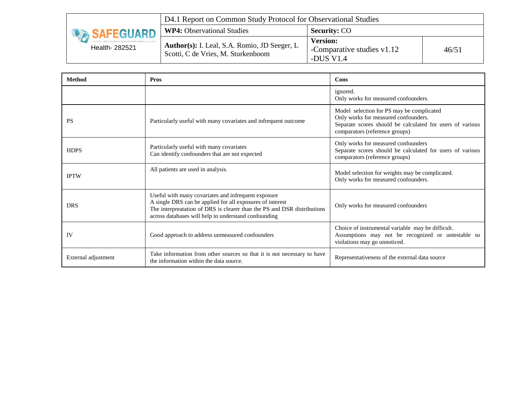| <b>SAFEGUARD</b> | D4.1 Report on Common Study Protocol for Observational Studies                     |                                                            |       |
|------------------|------------------------------------------------------------------------------------|------------------------------------------------------------|-------|
|                  | <b>WP4:</b> Observational Studies                                                  | <b>Security: CO</b>                                        |       |
| Health- 282521   | Author(s): I. Leal, S.A. Romio, JD Seeger, L<br>Scotti, C de Vries, M. Sturkenboom | <b>Version:</b><br>-Comparative studies v1.12<br>-DUS V1.4 | 46/51 |

| <b>Method</b>       | <b>Pros</b>                                                                                                                                                                                                                                         | Cons                                                                                                                                                                             |
|---------------------|-----------------------------------------------------------------------------------------------------------------------------------------------------------------------------------------------------------------------------------------------------|----------------------------------------------------------------------------------------------------------------------------------------------------------------------------------|
|                     |                                                                                                                                                                                                                                                     | ignored.<br>Only works for measured confounders.                                                                                                                                 |
| <b>PS</b>           | Particularly useful with many covariates and infrequent outcome                                                                                                                                                                                     | Model selection for PS may be complicated<br>Only works for measured confounders.<br>Separate scores should be calculated for users of various<br>comparators (reference groups) |
| <b>HDPS</b>         | Particularly useful with many covariates<br>Can identify confounders that are not expected                                                                                                                                                          | Only works for measured confounders<br>Separate scores should be calculated for users of various<br>comparators (reference groups)                                               |
| <b>IPTW</b>         | All patients are used in analysis.                                                                                                                                                                                                                  | Model selection for weights may be complicated.<br>Only works for measured confounders.                                                                                          |
| <b>DRS</b>          | Useful with many covariates and infrequent exposure<br>A single DRS can be applied for all exposures of interest<br>The interpreatation of DRS is clearer than the PS and DSR distributions<br>across databases will help to understand confounding | Only works for measured confounders                                                                                                                                              |
| IV                  | Good approach to address unmeasured confounders                                                                                                                                                                                                     | Choice of instrumental variable may be difficult.<br>Assumptions may not be recognized or untestable so<br>violations may go unnoticed.                                          |
| External adjustment | Take information from other sources so that it is not necessary to have<br>the information within the data source.                                                                                                                                  | Representativeness of the external data source                                                                                                                                   |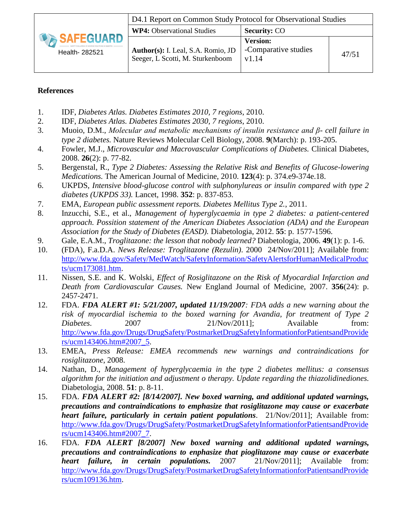|                                       | D4.1 Report on Common Study Protocol for Observational Studies         |                                                  |       |
|---------------------------------------|------------------------------------------------------------------------|--------------------------------------------------|-------|
|                                       | <b>WP4:</b> Observational Studies                                      | <b>Security: CO</b>                              |       |
| <b>DA SAFEGUARD</b><br>Health- 282521 | Author(s): I. Leal, S.A. Romio, JD<br>Seeger, L Scotti, M. Sturkenboom | <b>Version:</b><br>-Comparative studies<br>v1.14 | 47/51 |

# **References**

- <span id="page-46-1"></span>1. IDF, *Diabetes Atlas. Diabetes Estimates 2010, 7 regions*, 2010.
- <span id="page-46-2"></span><span id="page-46-0"></span>2. IDF, *Diabetes Atlas. Diabetes Estimates 2030, 7 regions*, 2010.
- <span id="page-46-3"></span>3. Muoio, D.M., *Molecular and metabolic mechanisms of insulin resistance and β- cell failure in type 2 diabetes.* Nature Reviews Molecular Cell Biology, 2008. **9**(March): p. 193-205.
- <span id="page-46-4"></span>4. Fowler, M.J., *Microvascular and Macrovascular Complications of Diabetes.* Clinical Diabetes, 2008. **26**(2): p. 77-82.
- <span id="page-46-5"></span>5. Bergenstal, R., *Type 2 Diabetes: Assessing the Relative Risk and Benefits of Glucose-lowering Medications.* The American Journal of Medicine, 2010. **123**(4): p. 374.e9-374e.18.
- <span id="page-46-6"></span>6. UKPDS, *Intensive blood-glucose control with sulphonylureas or insulin compared with type 2 diabetes (UKPDS 33).* Lancet, 1998. **352**: p. 837-853.
- <span id="page-46-7"></span>7. EMA, *European public assessment reports. Diabetes Mellitus Type 2.*, 2011.
- <span id="page-46-8"></span>8. Inzucchi, S.E., et al., *Management of hyperglycaemia in type 2 diabetes: a patient-centered approach. Possition statement of the American Diabetes Association (ADA) and the European Association for the Study of Diabetes (EASD).* Diabetologia, 2012. **55**: p. 1577-1596.
- <span id="page-46-9"></span>9. Gale, E.A.M., *Troglitazone: the lesson that nobody learned?* Diabetologia, 2006. **49**(1): p. 1-6.
- <span id="page-46-10"></span>10. (FDA), F.a.D.A. *News Release: Troglitazone (Rezulin)*. 2000 24/Nov/2011]; Available from: [http://www.fda.gov/Safety/MedWatch/SafetyInformation/SafetyAlertsforHumanMedicalProduc](http://www.fda.gov/Safety/MedWatch/SafetyInformation/SafetyAlertsforHumanMedicalProducts/ucm173081.htm) [ts/ucm173081.htm.](http://www.fda.gov/Safety/MedWatch/SafetyInformation/SafetyAlertsforHumanMedicalProducts/ucm173081.htm)
- <span id="page-46-11"></span>11. Nissen, S.E. and K. Wolski, *Effect of Rosiglitazone on the Risk of Myocardial Infarction and Death from Cardiovascular Causes.* New England Journal of Medicine, 2007. **356**(24): p. 2457-2471.
- <span id="page-46-12"></span>12. FDA. *FDA ALERT #1: 5/21/2007, updated 11/19/2007: FDA adds a new warning about the risk of myocardial ischemia to the boxed warning for Avandia, for treatment of Type 2 Diabetes*. 2007 21/Nov/2011]; Available from: [http://www.fda.gov/Drugs/DrugSafety/PostmarketDrugSafetyInformationforPatientsandProvide](http://www.fda.gov/Drugs/DrugSafety/PostmarketDrugSafetyInformationforPatientsandProviders/ucm143406.htm#2007_5) [rs/ucm143406.htm#2007\\_5.](http://www.fda.gov/Drugs/DrugSafety/PostmarketDrugSafetyInformationforPatientsandProviders/ucm143406.htm#2007_5)
- <span id="page-46-13"></span>13. EMEA, *Press Release: EMEA recommends new warnings and contraindications for rosiglitazone*, 2008.
- <span id="page-46-14"></span>14. Nathan, D., *Management of hyperglycaemia in the type 2 diabetes mellitus: a consensus algorithm for the initiation and adjustment o therapy. Update regarding the thiazolidinediones.* Diabetologia, 2008. **51**: p. 8-11.
- <span id="page-46-15"></span>15. FDA. *FDA ALERT #2: [8/14/2007]. New boxed warning, and additional updated warnings, precautions and contraindications to emphasize that rosiglitazone may cause or exacerbate heart failure, particularly in certain patient populations*. 21/Nov/2011]; Available from: [http://www.fda.gov/Drugs/DrugSafety/PostmarketDrugSafetyInformationforPatientsandProvide](http://www.fda.gov/Drugs/DrugSafety/PostmarketDrugSafetyInformationforPatientsandProviders/ucm143406.htm#2007_7) [rs/ucm143406.htm#2007\\_7.](http://www.fda.gov/Drugs/DrugSafety/PostmarketDrugSafetyInformationforPatientsandProviders/ucm143406.htm#2007_7)
- <span id="page-46-16"></span>16. FDA. *FDA ALERT [8/2007] New boxed warning and additional updated warnings, precautions and contraindications to enphasize that pioglitazone may cause or exacerbate*<br> *heart failure, in certain populations.* 2007 21/Nov/2011]; Available from: *heart failure, in certain populations.* 2007 [http://www.fda.gov/Drugs/DrugSafety/PostmarketDrugSafetyInformationforPatientsandProvide](http://www.fda.gov/Drugs/DrugSafety/PostmarketDrugSafetyInformationforPatientsandProviders/ucm109136.htm) [rs/ucm109136.htm.](http://www.fda.gov/Drugs/DrugSafety/PostmarketDrugSafetyInformationforPatientsandProviders/ucm109136.htm)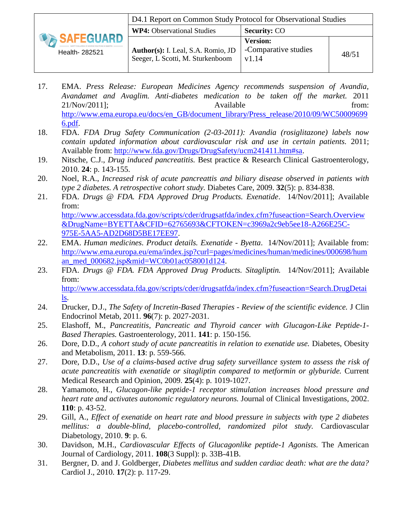|                             | D4.1 Report on Common Study Protocol for Observational Studies         |                                                  |       |
|-----------------------------|------------------------------------------------------------------------|--------------------------------------------------|-------|
|                             | <b>WP4:</b> Observational Studies                                      | <b>Security: CO</b>                              |       |
| SAFEGUARD<br>Health- 282521 | Author(s): I. Leal, S.A. Romio, JD<br>Seeger, L Scotti, M. Sturkenboom | <b>Version:</b><br>-Comparative studies<br>v1.14 | 48/51 |

- <span id="page-47-0"></span>17. EMA. *Press Release: European Medicines Agency recommends suspension of Avandia, Avandamet and Avaglim. Anti-diabetes medication to be taken off the market.* 2011 21/Nov/2011]; Available from: [http://www.ema.europa.eu/docs/en\\_GB/document\\_library/Press\\_release/2010/09/WC50009699](http://www.ema.europa.eu/docs/en_GB/document_library/Press_release/2010/09/WC500096996.pdf) [6.pdf.](http://www.ema.europa.eu/docs/en_GB/document_library/Press_release/2010/09/WC500096996.pdf)
- <span id="page-47-1"></span>18. FDA. *FDA Drug Safety Communication (2-03-2011): Avandia (rosiglitazone) labels now contain updated information about cardiovascular risk and use in certain patients.* 2011; Available from: [http://www.fda.gov/Drugs/DrugSafety/ucm241411.htm#sa.](http://www.fda.gov/Drugs/DrugSafety/ucm241411.htm#sa)
- <span id="page-47-2"></span>19. Nitsche, C.J., *Drug induced pancreatitis.* Best practice & Research Clinical Gastroenterology, 2010. **24**: p. 143-155.
- <span id="page-47-3"></span>20. Noel, R.A., *Increased risk of acute pancreattis and biliary disease observed in patients with type 2 diabetes. A retrospective cohort study.* Diabetes Care, 2009. **32**(5): p. 834-838.
- <span id="page-47-4"></span>21. FDA. *Drugs @ FDA. FDA Approved Drug Products. Exenatide*. 14/Nov/2011]; Available from: [http://www.accessdata.fda.gov/scripts/cder/drugsatfda/index.cfm?fuseaction=Search.Overview](http://www.accessdata.fda.gov/scripts/cder/drugsatfda/index.cfm?fuseaction=Search.Overview&DrugName=BYETTA&CFID=62765693&CFTOKEN=c3969a2c9eb5ee18-A266E25C-975E-5AA5-AD2D68D5BE17EE97) [&DrugName=BYETTA&CFID=62765693&CFTOKEN=c3969a2c9eb5ee18-A266E25C-](http://www.accessdata.fda.gov/scripts/cder/drugsatfda/index.cfm?fuseaction=Search.Overview&DrugName=BYETTA&CFID=62765693&CFTOKEN=c3969a2c9eb5ee18-A266E25C-975E-5AA5-AD2D68D5BE17EE97)
- <span id="page-47-5"></span>[975E-5AA5-AD2D68D5BE17EE97.](http://www.accessdata.fda.gov/scripts/cder/drugsatfda/index.cfm?fuseaction=Search.Overview&DrugName=BYETTA&CFID=62765693&CFTOKEN=c3969a2c9eb5ee18-A266E25C-975E-5AA5-AD2D68D5BE17EE97) 22. EMA. *Human medicines. Product details. Exenatide - Byetta*. 14/Nov/2011]; Available from: [http://www.ema.europa.eu/ema/index.jsp?curl=pages/medicines/human/medicines/000698/hum](http://www.ema.europa.eu/ema/index.jsp?curl=pages/medicines/human/medicines/000698/human_med_000682.jsp&mid=WC0b01ac058001d124) [an\\_med\\_000682.jsp&mid=WC0b01ac058001d124.](http://www.ema.europa.eu/ema/index.jsp?curl=pages/medicines/human/medicines/000698/human_med_000682.jsp&mid=WC0b01ac058001d124)
- <span id="page-47-6"></span>23. FDA. *Drugs @ FDA. FDA Approved Drug Products. Sitagliptin.* 14/Nov/2011]; Available from: [http://www.accessdata.fda.gov/scripts/cder/drugsatfda/index.cfm?fuseaction=Search.DrugDetai](http://www.accessdata.fda.gov/scripts/cder/drugsatfda/index.cfm?fuseaction=Search.DrugDetails) [ls.](http://www.accessdata.fda.gov/scripts/cder/drugsatfda/index.cfm?fuseaction=Search.DrugDetails)
- <span id="page-47-7"></span>24. Drucker, D.J., *The Safety of Incretin-Based Therapies - Review of the scientific evidence.* J Clin Endocrinol Metab, 2011. **96**(7): p. 2027-2031.
- <span id="page-47-8"></span>25. Elashoff, M., *Pancreatitis, Pancreatic and Thyroid cancer with Glucagon-Like Peptide-1- Based Therapies.* Gastroenterology, 2011. **141**: p. 150-156.
- <span id="page-47-9"></span>26. Dore, D.D., *A cohort study of acute pancreatitis in relation to exenatide use.* Diabetes, Obesity and Metabolism, 2011. **13**: p. 559-566.
- <span id="page-47-10"></span>27. Dore, D.D., *Use of a claims-based active drug safety surveillance system to assess the risk of acute pancreatitis with exenatide or sitagliptin compared to metformin or glyburide.* Current Medical Research and Opinion, 2009. **25**(4): p. 1019-1027.
- <span id="page-47-11"></span>28. Yamamoto, H., *Glucagon-like peptide-1 receptor stimulation increases blood pressure and heart rate and activates autonomic regulatory neurons.* Journal of Clinical Investigations, 2002. **110**: p. 43-52.
- <span id="page-47-12"></span>29. Gill, A., *Effect of exenatide on heart rate and blood pressure in subjects with type 2 diabetes mellitus: a double-blind, placebo-controlled, randomized pilot study.* Cardiovascular Diabetology, 2010. **9**: p. 6.
- <span id="page-47-13"></span>30. Davidson, M.H., *Cardiovascular Effects of Glucagonlike peptide-1 Agonists.* The American Journal of Cardiology, 2011. **108**(3 Suppl): p. 33B-41B.
- <span id="page-47-14"></span>31. Bergner, D. and J. Goldberger, *Diabetes mellitus and sudden cardiac death: what are the data?* Cardiol J., 2010. **17**(2): p. 117-29.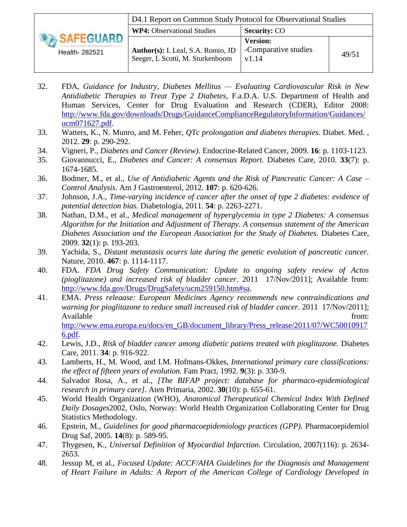|                             | D4.1 Report on Common Study Protocol for Observational Studies         |                                                  |       |
|-----------------------------|------------------------------------------------------------------------|--------------------------------------------------|-------|
|                             | <b>WP4:</b> Observational Studies                                      | <b>Security: CO</b>                              |       |
| SAFEGUARD<br>Health- 282521 | Author(s): I. Leal, S.A. Romio, JD<br>Seeger, L Scotti, M. Sturkenboom | <b>Version:</b><br>-Comparative studies<br>v1.14 | 49/51 |

- <span id="page-48-0"></span>32. FDA, *Guidance for Industry, Diabetes Mellitus — Evaluating Cardiovascular Risk in New Antidiabetic Therapies to Treat Type 2 Diabetes*, F.a.D.A. U.S. Department of Health and Human Services, Center for Drug Evaluation and Research (CDER), Editor 2008: [http://www.fda.gov/downloads/Drugs/GuidanceComplianceRegulatoryInformation/Guidances/](http://www.fda.gov/downloads/Drugs/GuidanceComplianceRegulatoryInformation/Guidances/ucm071627.pdf) [ucm071627.pdf.](http://www.fda.gov/downloads/Drugs/GuidanceComplianceRegulatoryInformation/Guidances/ucm071627.pdf)
- <span id="page-48-1"></span>33. Watters, K., N. Munro, and M. Feher, *QTc prolongation and diabetes therapies.* Diabet. Med. , 2012. **29**: p. 290-292.
- <span id="page-48-2"></span>34. Vigneri, P., *Diabetes and Cancer (Review).* Endocrine-Related Cancer, 2009. **16**: p. 1103-1123.
- <span id="page-48-3"></span>35. Giovannucci, E., *Diabetes and Cancer: A consensus Report.* Diabetes Care, 2010. **33**(7): p. 1674-1685.
- <span id="page-48-4"></span>36. Bodmer, M., et al., *Use of Antidiabetic Agents and the Risk of Pancreatic Cancer: A Case – Control Analysis.* Am J Gastroenterol, 2012. **107**: p. 620-626.
- <span id="page-48-5"></span>37. Johnson, J.A., *Time-varying incidence of cancer after the onset of type 2 diabetes: evidence of potential detection bias.* Diabetologia, 2011. **54**: p. 2263-2271.
- <span id="page-48-6"></span>38. Nathan, D.M., et al., *Medical management of hyperglycemia in type 2 Diabetes: A consensus Algorithm for the Initiation and Adjustment of Therapy. A consensus statement of the American Diabetes Association and the European Association for the Study of Diabetes.* Diabetes Care, 2009. **32**(1): p. 193-203.
- <span id="page-48-7"></span>39. Yachida, S., *Distant metastasis ocurrs late during the genetic evolution of pancreatic cancer.* Nature, 2010. **467**: p. 1114-1117.
- <span id="page-48-8"></span>40. FDA. *FDA Drug Safety Communication: Update to ongoing safety review of Actos (pioglitazone) and increased risk of bladder cancer*. 2011 17/Nov/2011]; Available from: [http://www.fda.gov/Drugs/DrugSafety/ucm259150.htm#sa.](http://www.fda.gov/Drugs/DrugSafety/ucm259150.htm#sa)
- <span id="page-48-9"></span>41. EMA. *Press releaase: European Medicines Agency recommends new contraindications and warning for pioglitazone to reduce small increased risk of bladder cancer*. 2011 17/Nov/2011]; Available from:  $\blacksquare$ [http://www.ema.europa.eu/docs/en\\_GB/document\\_library/Press\\_release/2011/07/WC50010917](http://www.ema.europa.eu/docs/en_GB/document_library/Press_release/2011/07/WC500109176.pdf) [6.pdf.](http://www.ema.europa.eu/docs/en_GB/document_library/Press_release/2011/07/WC500109176.pdf)
- <span id="page-48-10"></span>42. Lewis, J.D., *Risk of bladder cancer among diabetic patiens treated with pioglitazone.* Diabetes Care, 2011. **34**: p. 916-922.
- <span id="page-48-11"></span>43. Lamberts, H., M. Wood, and I.M. Hofmans-Okkes, *International primary care classifications: the effect of fifteen years of evolution.* Fam Pract, 1992. **9**(3): p. 330-9.
- <span id="page-48-12"></span>44. Salvador Rosa, A., et al., *[The BIFAP project: database for pharmaco-epidemiological research in primary care].* Aten Primaria, 2002. **30**(10): p. 655-61.
- <span id="page-48-13"></span>45. World Health Organization (WHO), *Anatomical Therapeutical Chemical Index With Defined Daily Dosages*2002, Oslo, Norway: World Health Organization Collaborating Center for Drug Statistics Methodology.
- <span id="page-48-14"></span>46. Epstein, M., *Guidelines for good pharmacoepidemiology practices (GPP).* Pharmacoepidemiol Drug Saf, 2005. **14**(8): p. 589-95.
- <span id="page-48-15"></span>47. Thygesen, K., *Universal Definition of Myocardial Infarction.* Circulation, 2007(116): p. 2634- 2653.
- <span id="page-48-16"></span>48. Jessup M, et al., *Focused Update: ACCF/AHA Guidelines for the Diagnosis and Management of Heart Failure in Adults: A Report of the American College of Cardiology Developed in*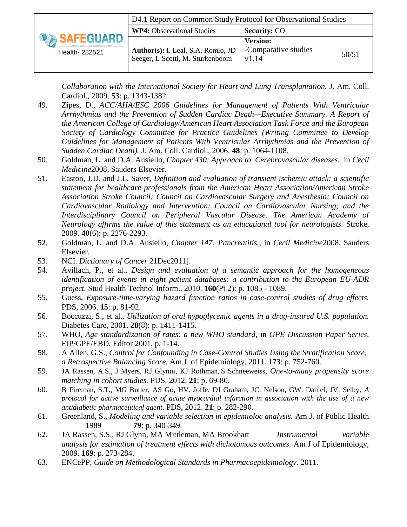|                            | D4.1 Report on Common Study Protocol for Observational Studies         |                                                  |       |
|----------------------------|------------------------------------------------------------------------|--------------------------------------------------|-------|
| SAFEGUARD<br>Health-282521 | <b>WP4:</b> Observational Studies                                      | <b>Security: CO</b>                              |       |
|                            | Author(s): I. Leal, S.A. Romio, JD<br>Seeger, L Scotti, M. Sturkenboom | <b>Version:</b><br>-Comparative studies<br>v1.14 | 50/51 |

*Collaboration with the International Society for Heart and Lung Transplantation.* J. Am. Coll. Cardiol., 2009. **53**: p. 1343-1382.

- <span id="page-49-0"></span>49. Zipes, D., *ACC/AHA/ESC 2006 Guidelines for Management of Patients With Ventricular Arrhythmias and the Prevention of Sudden Cardiac Death—Executive Summary. A Report of the American College of Cardiology/American Heart Association Task Force and the European Society of Cardiology Committee for Practice Guidelines (Writing Committee to Develop Guidelines for Management of Patients With Ventricular Arrhythmias and the Prevention of Sudden Cardiac Death).* J. Am. Coll. Cardiol., 2006. **48**: p. 1064-1108.
- <span id="page-49-1"></span>50. Goldman, L. and D.A. Ausiello, *Chapter 430: Approach to Cerebrovascular diseases.*, in *Cecil Medicine*2008, Sauders Elsevier.
- <span id="page-49-2"></span>51. Easton, J.D. and J.L. Saver, *Definition and evaluation of transient ischemic attack: a scientific statement for healthcare professionals from the American Heart Association/American Stroke Association Stroke Council; Council on Cardiovascular Surgery and Anesthesia; Council on Cardiovascular Radiology and Intervention; Council on Cardiovascular Nursing; and the Interdisciplinary Council on Peripheral Vascular Disease. The American Academy of Neurology affirms the value of this statement as an educational tool for neurologists.* Stroke, 2009. **40**(6): p. 2276-2293.
- <span id="page-49-3"></span>52. Goldman, L. and D.A. Ausiello, *Chapter 147: Pancreatitis.*, in *Cecil Medicine*2008, Sauders Elsevier.
- <span id="page-49-4"></span>53. NCI. *Dictionary of Cancer* 21Dec2011].
- <span id="page-49-5"></span>54. Avillach, P., et al., *Design and evaluation of a semantic approach for the homogeneous identification of events in eight patient databases: a contribution to the European EU-ADR project.* Stud Health Technol Inform., 2010. **160**(Pt 2): p. 1085 - 1089.
- <span id="page-49-6"></span>55. Guess, *Exposure-time-varying hazard function ratios in case-control studies of drug effects.* PDS, 2006. **15**: p. 81-92.
- <span id="page-49-7"></span>56. Boccuzzi, S., et al., *Utilization of oral hypoglycemic agents in a drug-insured U.S. population.* Diabetes Care, 2001. **28**(8): p. 1411-1415.
- <span id="page-49-8"></span>57. WHO, *Age standardization of rates: a new WHO standard*, in *GPE Discussion Paper Series*, EIP/GPE/EBD, Editor 2001. p. 1-14.
- <span id="page-49-9"></span>58. A Allen, G.S., *Control for Confounding in Case-Control Studies Using the Stratification Score, a Retrospective Balancing Score.* Am.J. of Epidemiology, 2011. **173**: p. 752-760.
- <span id="page-49-10"></span>59. JA Rassen, A.S., J Myers, RJ Glynn1, KJ Rothman, S Schneeweiss, *One-to-many propensity score matching in cohort studies.* PDS, 2012. **21**: p. 69-80.
- <span id="page-49-11"></span>60. B Fireman, S.T., MG Butler, AS Go, HV. Joffe, DJ Graham, JC. Nelson, GW. Daniel, JV. Selby, *A protocol for active surveillance of acute myocardial infarction in association with the use of a new antidiabetic pharmaceutical agent.* PDS, 2012. **21**: p. 282-290.
- <span id="page-49-12"></span>61. Greenland, S., *Modeling and variable selection in epidemioloc analysis.* Am J. of Public Health 1989 **79**: p. 340-349.
- <span id="page-49-13"></span>62. JA Rassen, S.S., RJ Glynn, MA Mittleman, MA Brookhart *Instrumental variable analysis for estimation of treatment effects with dichotomous outcomes.* Am J of Epidemiology, 2009. **169**: p. 273-284.
- <span id="page-49-14"></span>63. ENCePP, *Guide on Methodological Standards in Pharmacoepidemiology.* 2011.